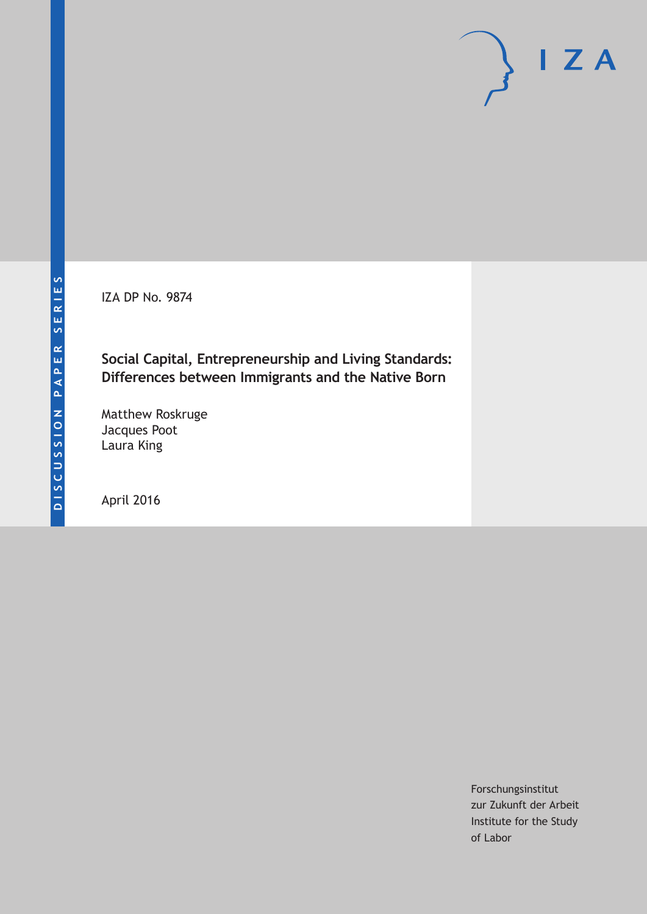IZA DP No. 9874

**Social Capital, Entrepreneurship and Living Standards: Differences between Immigrants and the Native Born**

Matthew Roskruge Jacques Poot Laura King

April 2016

Forschungsinstitut zur Zukunft der Arbeit Institute for the Study of Labor

 $I Z A$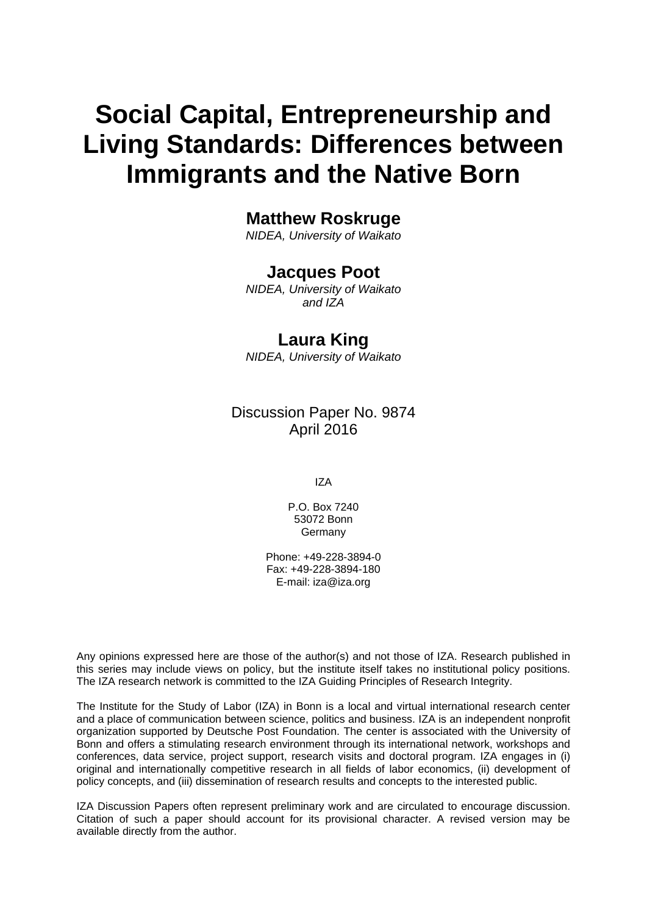# **Social Capital, Entrepreneurship and Living Standards: Differences between Immigrants and the Native Born**

### **Matthew Roskruge**

*NIDEA, University of Waikato* 

### **Jacques Poot**

*NIDEA, University of Waikato and IZA* 

### **Laura King**

*NIDEA, University of Waikato*

### Discussion Paper No. 9874 April 2016

IZA

P.O. Box 7240 53072 Bonn **Germany** 

Phone: +49-228-3894-0 Fax: +49-228-3894-180 E-mail: iza@iza.org

Any opinions expressed here are those of the author(s) and not those of IZA. Research published in this series may include views on policy, but the institute itself takes no institutional policy positions. The IZA research network is committed to the IZA Guiding Principles of Research Integrity.

The Institute for the Study of Labor (IZA) in Bonn is a local and virtual international research center and a place of communication between science, politics and business. IZA is an independent nonprofit organization supported by Deutsche Post Foundation. The center is associated with the University of Bonn and offers a stimulating research environment through its international network, workshops and conferences, data service, project support, research visits and doctoral program. IZA engages in (i) original and internationally competitive research in all fields of labor economics, (ii) development of policy concepts, and (iii) dissemination of research results and concepts to the interested public.

IZA Discussion Papers often represent preliminary work and are circulated to encourage discussion. Citation of such a paper should account for its provisional character. A revised version may be available directly from the author.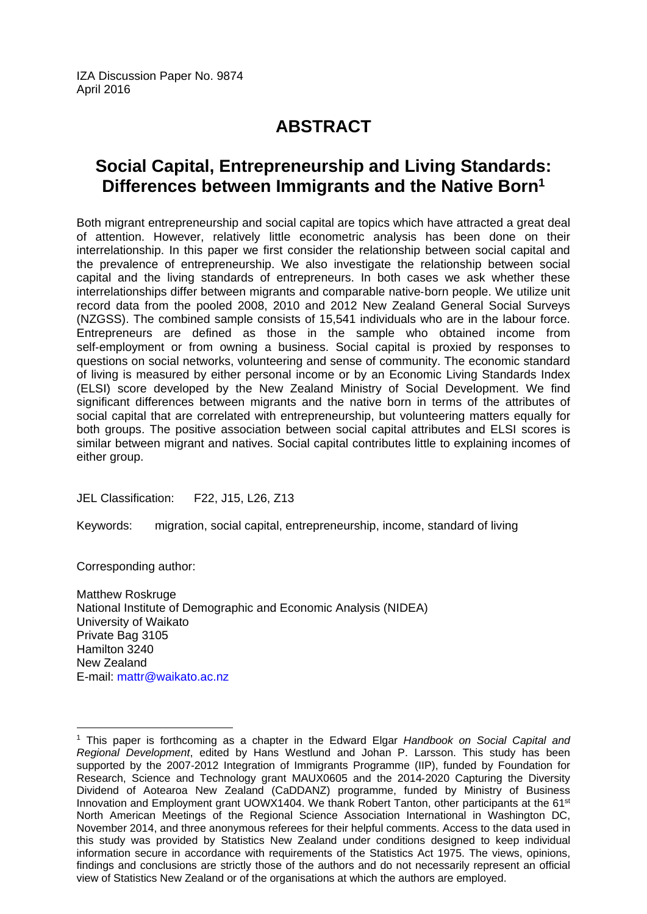IZA Discussion Paper No. 9874 April 2016

# **ABSTRACT**

## **Social Capital, Entrepreneurship and Living Standards: Differences between Immigrants and the Native Born1**

Both migrant entrepreneurship and social capital are topics which have attracted a great deal of attention. However, relatively little econometric analysis has been done on their interrelationship. In this paper we first consider the relationship between social capital and the prevalence of entrepreneurship. We also investigate the relationship between social capital and the living standards of entrepreneurs. In both cases we ask whether these interrelationships differ between migrants and comparable native‐born people. We utilize unit record data from the pooled 2008, 2010 and 2012 New Zealand General Social Surveys (NZGSS). The combined sample consists of 15,541 individuals who are in the labour force. Entrepreneurs are defined as those in the sample who obtained income from self-employment or from owning a business. Social capital is proxied by responses to questions on social networks, volunteering and sense of community. The economic standard of living is measured by either personal income or by an Economic Living Standards Index (ELSI) score developed by the New Zealand Ministry of Social Development. We find significant differences between migrants and the native born in terms of the attributes of social capital that are correlated with entrepreneurship, but volunteering matters equally for both groups. The positive association between social capital attributes and ELSI scores is similar between migrant and natives. Social capital contributes little to explaining incomes of either group.

JEL Classification: F22, J15, L26, Z13

Keywords: migration, social capital, entrepreneurship, income, standard of living

Corresponding author:

 $\overline{a}$ 

Matthew Roskruge National Institute of Demographic and Economic Analysis (NIDEA) University of Waikato Private Bag 3105 Hamilton 3240 New Zealand E-mail: mattr@waikato.ac.nz

<sup>1</sup> This paper is forthcoming as a chapter in the Edward Elgar *Handbook on Social Capital and Regional Development*, edited by Hans Westlund and Johan P. Larsson. This study has been supported by the 2007-2012 Integration of Immigrants Programme (IIP), funded by Foundation for Research, Science and Technology grant MAUX0605 and the 2014‐2020 Capturing the Diversity Dividend of Aotearoa New Zealand (CaDDANZ) programme, funded by Ministry of Business Innovation and Employment grant UOWX1404. We thank Robert Tanton, other participants at the 61<sup>st</sup> North American Meetings of the Regional Science Association International in Washington DC, November 2014, and three anonymous referees for their helpful comments. Access to the data used in this study was provided by Statistics New Zealand under conditions designed to keep individual information secure in accordance with requirements of the Statistics Act 1975. The views, opinions, findings and conclusions are strictly those of the authors and do not necessarily represent an official view of Statistics New Zealand or of the organisations at which the authors are employed.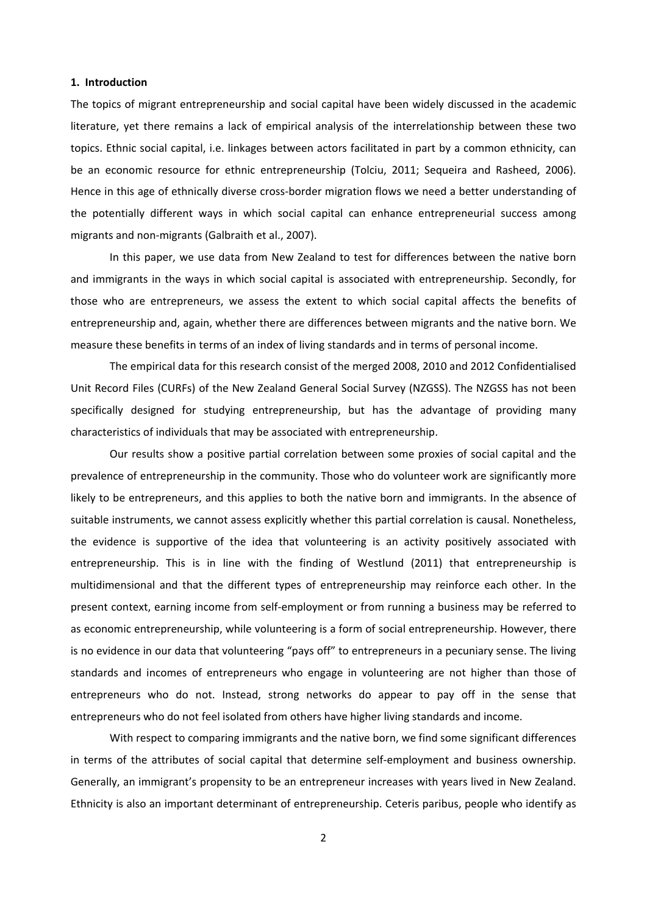#### **1. Introduction**

The topics of migrant entrepreneurship and social capital have been widely discussed in the academic literature, yet there remains a lack of empirical analysis of the interrelationship between these two topics. Ethnic social capital, i.e. linkages between actors facilitated in part by a common ethnicity, can be an economic resource for ethnic entrepreneurship (Tolciu, 2011; Sequeira and Rasheed, 2006). Hence in this age of ethnically diverse cross-border migration flows we need a better understanding of the potentially different ways in which social capital can enhance entrepreneurial success among migrants and non‐migrants (Galbraith et al., 2007).

In this paper, we use data from New Zealand to test for differences between the native born and immigrants in the ways in which social capital is associated with entrepreneurship. Secondly, for those who are entrepreneurs, we assess the extent to which social capital affects the benefits of entrepreneurship and, again, whether there are differences between migrants and the native born. We measure these benefits in terms of an index of living standards and in terms of personal income.

The empirical data for this research consist of the merged 2008, 2010 and 2012 Confidentialised Unit Record Files (CURFs) of the New Zealand General Social Survey (NZGSS). The NZGSS has not been specifically designed for studying entrepreneurship, but has the advantage of providing many characteristics of individuals that may be associated with entrepreneurship.

Our results show a positive partial correlation between some proxies of social capital and the prevalence of entrepreneurship in the community. Those who do volunteer work are significantly more likely to be entrepreneurs, and this applies to both the native born and immigrants. In the absence of suitable instruments, we cannot assess explicitly whether this partial correlation is causal. Nonetheless, the evidence is supportive of the idea that volunteering is an activity positively associated with entrepreneurship. This is in line with the finding of Westlund (2011) that entrepreneurship is multidimensional and that the different types of entrepreneurship may reinforce each other. In the present context, earning income from self‐employment or from running a business may be referred to as economic entrepreneurship, while volunteering is a form of social entrepreneurship. However, there is no evidence in our data that volunteering "pays off" to entrepreneurs in a pecuniary sense. The living standards and incomes of entrepreneurs who engage in volunteering are not higher than those of entrepreneurs who do not. Instead, strong networks do appear to pay off in the sense that entrepreneurs who do not feel isolated from others have higher living standards and income.

With respect to comparing immigrants and the native born, we find some significant differences in terms of the attributes of social capital that determine self-employment and business ownership. Generally, an immigrant's propensity to be an entrepreneur increases with years lived in New Zealand. Ethnicity is also an important determinant of entrepreneurship. Ceteris paribus, people who identify as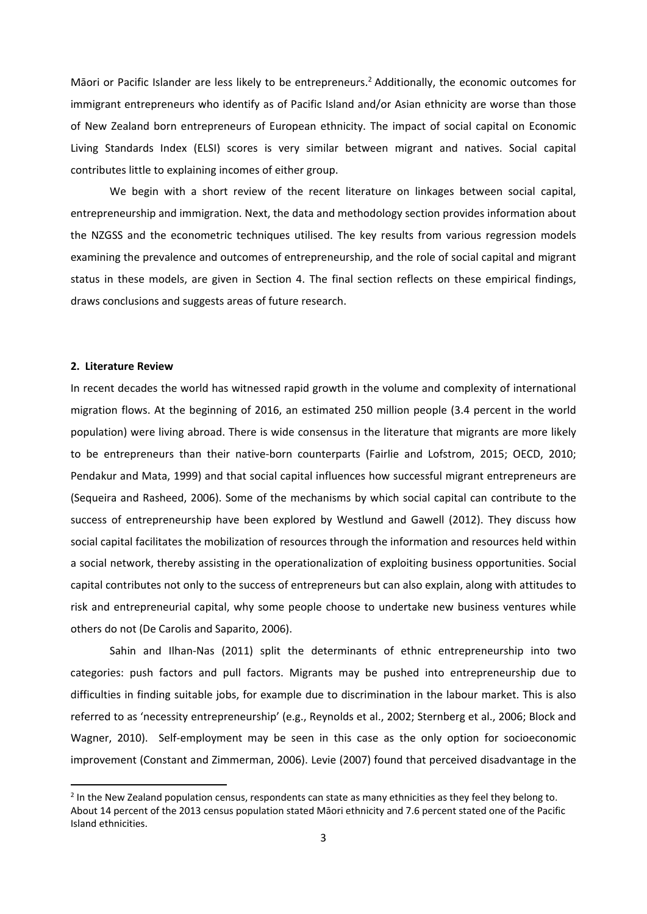Māori or Pacific Islander are less likely to be entrepreneurs.<sup>2</sup> Additionally, the economic outcomes for immigrant entrepreneurs who identify as of Pacific Island and/or Asian ethnicity are worse than those of New Zealand born entrepreneurs of European ethnicity. The impact of social capital on Economic Living Standards Index (ELSI) scores is very similar between migrant and natives. Social capital contributes little to explaining incomes of either group.

We begin with a short review of the recent literature on linkages between social capital, entrepreneurship and immigration. Next, the data and methodology section provides information about the NZGSS and the econometric techniques utilised. The key results from various regression models examining the prevalence and outcomes of entrepreneurship, and the role of social capital and migrant status in these models, are given in Section 4. The final section reflects on these empirical findings, draws conclusions and suggests areas of future research.

#### **2. Literature Review**

In recent decades the world has witnessed rapid growth in the volume and complexity of international migration flows. At the beginning of 2016, an estimated 250 million people (3.4 percent in the world population) were living abroad. There is wide consensus in the literature that migrants are more likely to be entrepreneurs than their native-born counterparts (Fairlie and Lofstrom, 2015; OECD, 2010; Pendakur and Mata, 1999) and that social capital influences how successful migrant entrepreneurs are (Sequeira and Rasheed, 2006). Some of the mechanisms by which social capital can contribute to the success of entrepreneurship have been explored by Westlund and Gawell (2012). They discuss how social capital facilitates the mobilization of resources through the information and resources held within a social network, thereby assisting in the operationalization of exploiting business opportunities. Social capital contributes not only to the success of entrepreneurs but can also explain, along with attitudes to risk and entrepreneurial capital, why some people choose to undertake new business ventures while others do not (De Carolis and Saparito, 2006).

Sahin and Ilhan‐Nas (2011) split the determinants of ethnic entrepreneurship into two categories: push factors and pull factors. Migrants may be pushed into entrepreneurship due to difficulties in finding suitable jobs, for example due to discrimination in the labour market. This is also referred to as 'necessity entrepreneurship' (e.g., Reynolds et al., 2002; Sternberg et al., 2006; Block and Wagner, 2010). Self-employment may be seen in this case as the only option for socioeconomic improvement (Constant and Zimmerman, 2006). Levie (2007) found that perceived disadvantage in the

<sup>&</sup>lt;sup>2</sup> In the New Zealand population census, respondents can state as many ethnicities as they feel they belong to. About 14 percent of the 2013 census population stated Māori ethnicity and 7.6 percent stated one of the Pacific Island ethnicities.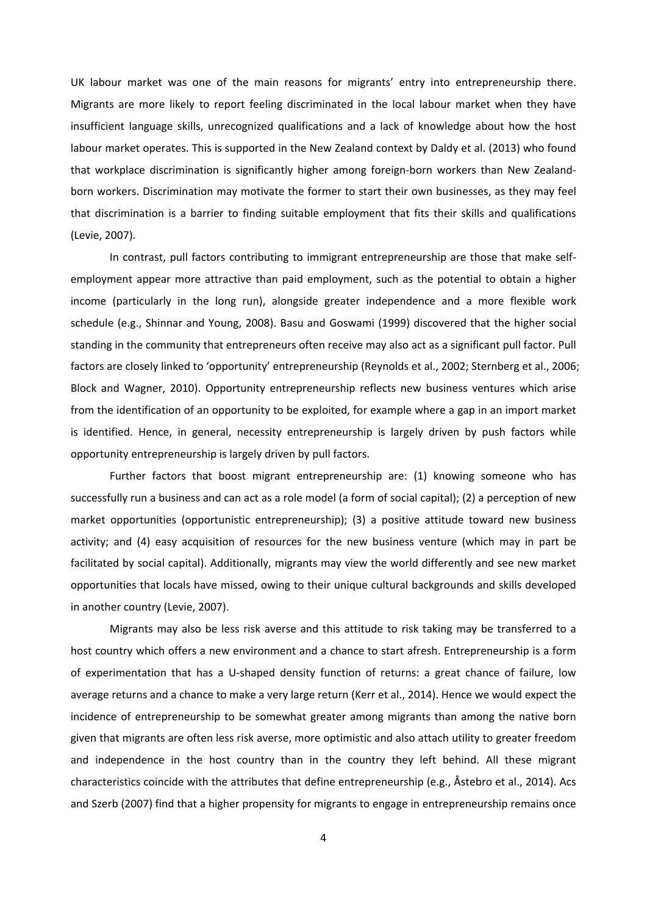UK labour market was one of the main reasons for migrants' entry into entrepreneurship there. Migrants are more likely to report feeling discriminated in the local labour market when they have insufficient language skills, unrecognized qualifications and a lack of knowledge about how the host labour market operates. This is supported in the New Zealand context by Daldy et al. (2013) who found that workplace discrimination is significantly higher among foreign‐born workers than New Zealand‐ born workers. Discrimination may motivate the former to start their own businesses, as they may feel that discrimination is a barrier to finding suitable employment that fits their skills and qualifications (Levie, 2007).

In contrast, pull factors contributing to immigrant entrepreneurship are those that make self‐ employment appear more attractive than paid employment, such as the potential to obtain a higher income (particularly in the long run), alongside greater independence and a more flexible work schedule (e.g., Shinnar and Young, 2008). Basu and Goswami (1999) discovered that the higher social standing in the community that entrepreneurs often receive may also act as a significant pull factor. Pull factors are closely linked to 'opportunity' entrepreneurship (Reynolds et al., 2002; Sternberg et al., 2006; Block and Wagner, 2010). Opportunity entrepreneurship reflects new business ventures which arise from the identification of an opportunity to be exploited, for example where a gap in an import market is identified. Hence, in general, necessity entrepreneurship is largely driven by push factors while opportunity entrepreneurship is largely driven by pull factors.

Further factors that boost migrant entrepreneurship are: (1) knowing someone who has successfully run a business and can act as a role model (a form of social capital); (2) a perception of new market opportunities (opportunistic entrepreneurship); (3) a positive attitude toward new business activity; and (4) easy acquisition of resources for the new business venture (which may in part be facilitated by social capital). Additionally, migrants may view the world differently and see new market opportunities that locals have missed, owing to their unique cultural backgrounds and skills developed in another country (Levie, 2007).

Migrants may also be less risk averse and this attitude to risk taking may be transferred to a host country which offers a new environment and a chance to start afresh. Entrepreneurship is a form of experimentation that has a U‐shaped density function of returns: a great chance of failure, low average returns and a chance to make a very large return (Kerr et al., 2014). Hence we would expect the incidence of entrepreneurship to be somewhat greater among migrants than among the native born given that migrants are often less risk averse, more optimistic and also attach utility to greater freedom and independence in the host country than in the country they left behind. All these migrant characteristics coincide with the attributes that define entrepreneurship (e.g., Åstebro et al., 2014). Acs and Szerb (2007) find that a higher propensity for migrants to engage in entrepreneurship remains once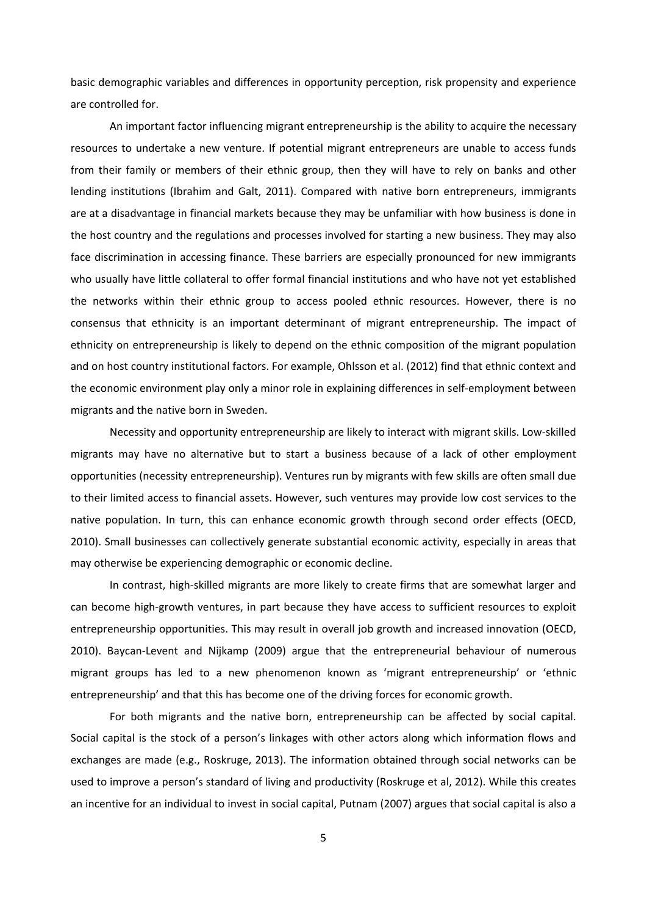basic demographic variables and differences in opportunity perception, risk propensity and experience are controlled for.

An important factor influencing migrant entrepreneurship is the ability to acquire the necessary resources to undertake a new venture. If potential migrant entrepreneurs are unable to access funds from their family or members of their ethnic group, then they will have to rely on banks and other lending institutions (Ibrahim and Galt, 2011). Compared with native born entrepreneurs, immigrants are at a disadvantage in financial markets because they may be unfamiliar with how business is done in the host country and the regulations and processes involved for starting a new business. They may also face discrimination in accessing finance. These barriers are especially pronounced for new immigrants who usually have little collateral to offer formal financial institutions and who have not yet established the networks within their ethnic group to access pooled ethnic resources. However, there is no consensus that ethnicity is an important determinant of migrant entrepreneurship. The impact of ethnicity on entrepreneurship is likely to depend on the ethnic composition of the migrant population and on host country institutional factors. For example, Ohlsson et al. (2012) find that ethnic context and the economic environment play only a minor role in explaining differences in self-employment between migrants and the native born in Sweden.

Necessity and opportunity entrepreneurship are likely to interact with migrant skills. Low‐skilled migrants may have no alternative but to start a business because of a lack of other employment opportunities (necessity entrepreneurship). Ventures run by migrants with few skills are often small due to their limited access to financial assets. However, such ventures may provide low cost services to the native population. In turn, this can enhance economic growth through second order effects (OECD, 2010). Small businesses can collectively generate substantial economic activity, especially in areas that may otherwise be experiencing demographic or economic decline.

In contrast, high‐skilled migrants are more likely to create firms that are somewhat larger and can become high‐growth ventures, in part because they have access to sufficient resources to exploit entrepreneurship opportunities. This may result in overall job growth and increased innovation (OECD, 2010). Baycan‐Levent and Nijkamp (2009) argue that the entrepreneurial behaviour of numerous migrant groups has led to a new phenomenon known as 'migrant entrepreneurship' or 'ethnic entrepreneurship' and that this has become one of the driving forces for economic growth.

For both migrants and the native born, entrepreneurship can be affected by social capital. Social capital is the stock of a person's linkages with other actors along which information flows and exchanges are made (e.g., Roskruge, 2013). The information obtained through social networks can be used to improve a person's standard of living and productivity (Roskruge et al, 2012). While this creates an incentive for an individual to invest in social capital, Putnam (2007) argues that social capital is also a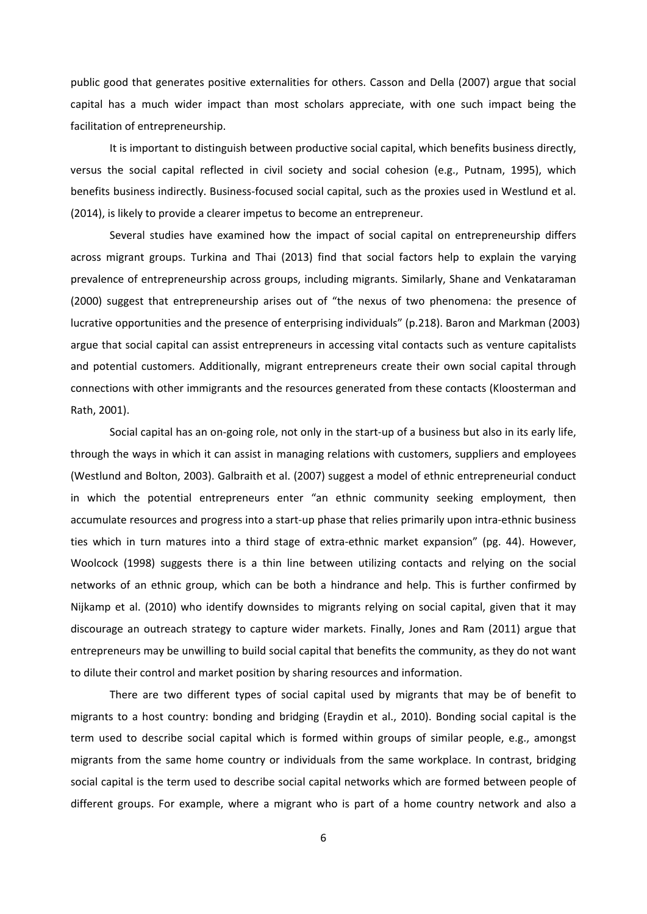public good that generates positive externalities for others. Casson and Della (2007) argue that social capital has a much wider impact than most scholars appreciate, with one such impact being the facilitation of entrepreneurship.

It is important to distinguish between productive social capital, which benefits business directly, versus the social capital reflected in civil society and social cohesion (e.g., Putnam, 1995), which benefits business indirectly. Business‐focused social capital, such as the proxies used in Westlund et al. (2014), is likely to provide a clearer impetus to become an entrepreneur.

Several studies have examined how the impact of social capital on entrepreneurship differs across migrant groups. Turkina and Thai (2013) find that social factors help to explain the varying prevalence of entrepreneurship across groups, including migrants. Similarly, Shane and Venkataraman (2000) suggest that entrepreneurship arises out of "the nexus of two phenomena: the presence of lucrative opportunities and the presence of enterprising individuals" (p.218). Baron and Markman (2003) argue that social capital can assist entrepreneurs in accessing vital contacts such as venture capitalists and potential customers. Additionally, migrant entrepreneurs create their own social capital through connections with other immigrants and the resources generated from these contacts (Kloosterman and Rath, 2001).

Social capital has an on-going role, not only in the start-up of a business but also in its early life, through the ways in which it can assist in managing relations with customers, suppliers and employees (Westlund and Bolton, 2003). Galbraith et al. (2007) suggest a model of ethnic entrepreneurial conduct in which the potential entrepreneurs enter "an ethnic community seeking employment, then accumulate resources and progress into a start-up phase that relies primarily upon intra-ethnic business ties which in turn matures into a third stage of extra‐ethnic market expansion" (pg. 44). However, Woolcock (1998) suggests there is a thin line between utilizing contacts and relying on the social networks of an ethnic group, which can be both a hindrance and help. This is further confirmed by Nijkamp et al. (2010) who identify downsides to migrants relying on social capital, given that it may discourage an outreach strategy to capture wider markets. Finally, Jones and Ram (2011) argue that entrepreneurs may be unwilling to build social capital that benefits the community, as they do not want to dilute their control and market position by sharing resources and information.

There are two different types of social capital used by migrants that may be of benefit to migrants to a host country: bonding and bridging (Eraydin et al., 2010). Bonding social capital is the term used to describe social capital which is formed within groups of similar people, e.g., amongst migrants from the same home country or individuals from the same workplace. In contrast, bridging social capital is the term used to describe social capital networks which are formed between people of different groups. For example, where a migrant who is part of a home country network and also a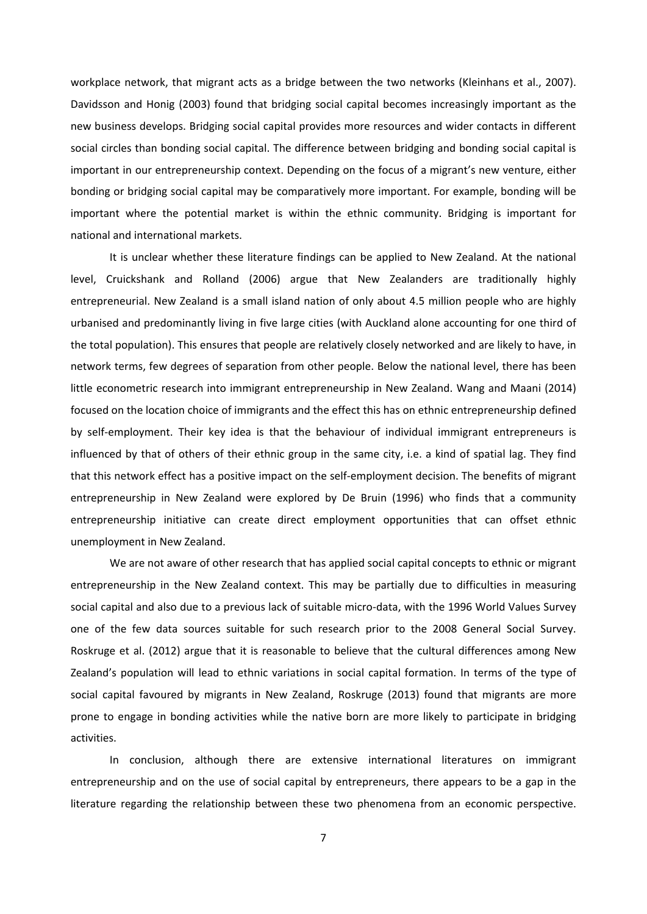workplace network, that migrant acts as a bridge between the two networks (Kleinhans et al., 2007). Davidsson and Honig (2003) found that bridging social capital becomes increasingly important as the new business develops. Bridging social capital provides more resources and wider contacts in different social circles than bonding social capital. The difference between bridging and bonding social capital is important in our entrepreneurship context. Depending on the focus of a migrant's new venture, either bonding or bridging social capital may be comparatively more important. For example, bonding will be important where the potential market is within the ethnic community. Bridging is important for national and international markets.

It is unclear whether these literature findings can be applied to New Zealand. At the national level, Cruickshank and Rolland (2006) argue that New Zealanders are traditionally highly entrepreneurial. New Zealand is a small island nation of only about 4.5 million people who are highly urbanised and predominantly living in five large cities (with Auckland alone accounting for one third of the total population). This ensures that people are relatively closely networked and are likely to have, in network terms, few degrees of separation from other people. Below the national level, there has been little econometric research into immigrant entrepreneurship in New Zealand. Wang and Maani (2014) focused on the location choice of immigrants and the effect this has on ethnic entrepreneurship defined by self-employment. Their key idea is that the behaviour of individual immigrant entrepreneurs is influenced by that of others of their ethnic group in the same city, i.e. a kind of spatial lag. They find that this network effect has a positive impact on the self‐employment decision. The benefits of migrant entrepreneurship in New Zealand were explored by De Bruin (1996) who finds that a community entrepreneurship initiative can create direct employment opportunities that can offset ethnic unemployment in New Zealand.

We are not aware of other research that has applied social capital concepts to ethnic or migrant entrepreneurship in the New Zealand context. This may be partially due to difficulties in measuring social capital and also due to a previous lack of suitable micro-data, with the 1996 World Values Survey one of the few data sources suitable for such research prior to the 2008 General Social Survey. Roskruge et al. (2012) argue that it is reasonable to believe that the cultural differences among New Zealand's population will lead to ethnic variations in social capital formation. In terms of the type of social capital favoured by migrants in New Zealand, Roskruge (2013) found that migrants are more prone to engage in bonding activities while the native born are more likely to participate in bridging activities.

In conclusion, although there are extensive international literatures on immigrant entrepreneurship and on the use of social capital by entrepreneurs, there appears to be a gap in the literature regarding the relationship between these two phenomena from an economic perspective.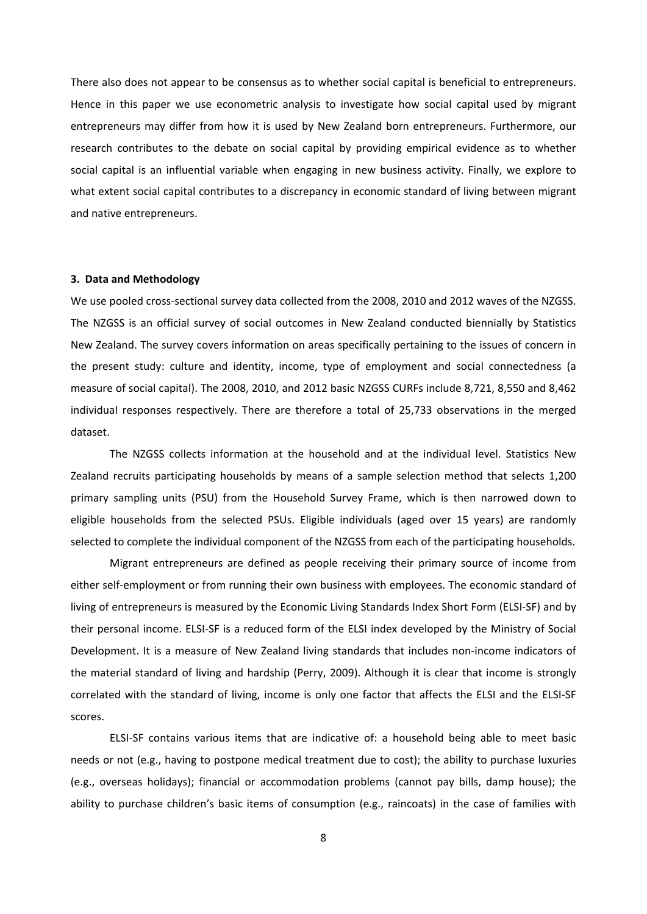There also does not appear to be consensus as to whether social capital is beneficial to entrepreneurs. Hence in this paper we use econometric analysis to investigate how social capital used by migrant entrepreneurs may differ from how it is used by New Zealand born entrepreneurs. Furthermore, our research contributes to the debate on social capital by providing empirical evidence as to whether social capital is an influential variable when engaging in new business activity. Finally, we explore to what extent social capital contributes to a discrepancy in economic standard of living between migrant and native entrepreneurs.

#### **3. Data and Methodology**

We use pooled cross-sectional survey data collected from the 2008, 2010 and 2012 waves of the NZGSS. The NZGSS is an official survey of social outcomes in New Zealand conducted biennially by Statistics New Zealand. The survey covers information on areas specifically pertaining to the issues of concern in the present study: culture and identity, income, type of employment and social connectedness (a measure of social capital). The 2008, 2010, and 2012 basic NZGSS CURFs include 8,721, 8,550 and 8,462 individual responses respectively. There are therefore a total of 25,733 observations in the merged dataset.

The NZGSS collects information at the household and at the individual level. Statistics New Zealand recruits participating households by means of a sample selection method that selects 1,200 primary sampling units (PSU) from the Household Survey Frame, which is then narrowed down to eligible households from the selected PSUs. Eligible individuals (aged over 15 years) are randomly selected to complete the individual component of the NZGSS from each of the participating households.

Migrant entrepreneurs are defined as people receiving their primary source of income from either self-employment or from running their own business with employees. The economic standard of living of entrepreneurs is measured by the Economic Living Standards Index Short Form (ELSI‐SF) and by their personal income. ELSI‐SF is a reduced form of the ELSI index developed by the Ministry of Social Development. It is a measure of New Zealand living standards that includes non-income indicators of the material standard of living and hardship (Perry, 2009). Although it is clear that income is strongly correlated with the standard of living, income is only one factor that affects the ELSI and the ELSI‐SF scores.

ELSI‐SF contains various items that are indicative of: a household being able to meet basic needs or not (e.g., having to postpone medical treatment due to cost); the ability to purchase luxuries (e.g., overseas holidays); financial or accommodation problems (cannot pay bills, damp house); the ability to purchase children's basic items of consumption (e.g., raincoats) in the case of families with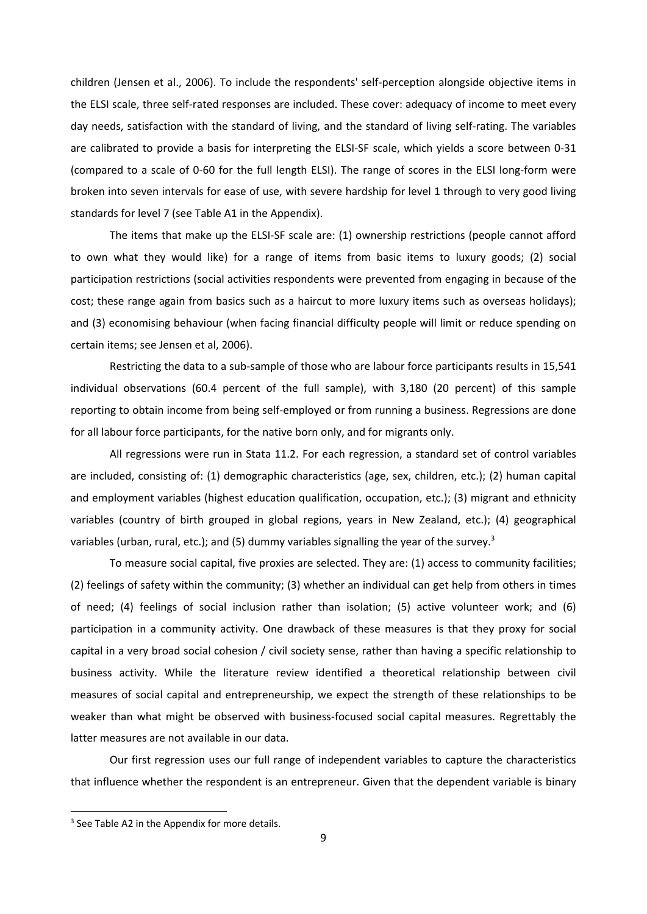children (Jensen et al., 2006). To include the respondents' self‐perception alongside objective items in the ELSI scale, three self‐rated responses are included. These cover: adequacy of income to meet every day needs, satisfaction with the standard of living, and the standard of living self‐rating. The variables are calibrated to provide a basis for interpreting the ELSI-SF scale, which yields a score between 0-31 (compared to a scale of 0‐60 for the full length ELSI). The range of scores in the ELSI long‐form were broken into seven intervals for ease of use, with severe hardship for level 1 through to very good living standards for level 7 (see Table A1 in the Appendix).

The items that make up the ELSI‐SF scale are: (1) ownership restrictions (people cannot afford to own what they would like) for a range of items from basic items to luxury goods; (2) social participation restrictions (social activities respondents were prevented from engaging in because of the cost; these range again from basics such as a haircut to more luxury items such as overseas holidays); and (3) economising behaviour (when facing financial difficulty people will limit or reduce spending on certain items; see Jensen et al, 2006).

Restricting the data to a sub-sample of those who are labour force participants results in 15,541 individual observations (60.4 percent of the full sample), with 3,180 (20 percent) of this sample reporting to obtain income from being self‐employed or from running a business. Regressions are done for all labour force participants, for the native born only, and for migrants only.

All regressions were run in Stata 11.2. For each regression, a standard set of control variables are included, consisting of: (1) demographic characteristics (age, sex, children, etc.); (2) human capital and employment variables (highest education qualification, occupation, etc.); (3) migrant and ethnicity variables (country of birth grouped in global regions, years in New Zealand, etc.); (4) geographical variables (urban, rural, etc.); and (5) dummy variables signalling the year of the survey.<sup>3</sup>

To measure social capital, five proxies are selected. They are: (1) access to community facilities; (2) feelings of safety within the community; (3) whether an individual can get help from others in times of need; (4) feelings of social inclusion rather than isolation; (5) active volunteer work; and (6) participation in a community activity. One drawback of these measures is that they proxy for social capital in a very broad social cohesion / civil society sense, rather than having a specific relationship to business activity. While the literature review identified a theoretical relationship between civil measures of social capital and entrepreneurship, we expect the strength of these relationships to be weaker than what might be observed with business-focused social capital measures. Regrettably the latter measures are not available in our data.

Our first regression uses our full range of independent variables to capture the characteristics that influence whether the respondent is an entrepreneur. Given that the dependent variable is binary

<sup>&</sup>lt;sup>3</sup> See Table A2 in the Appendix for more details.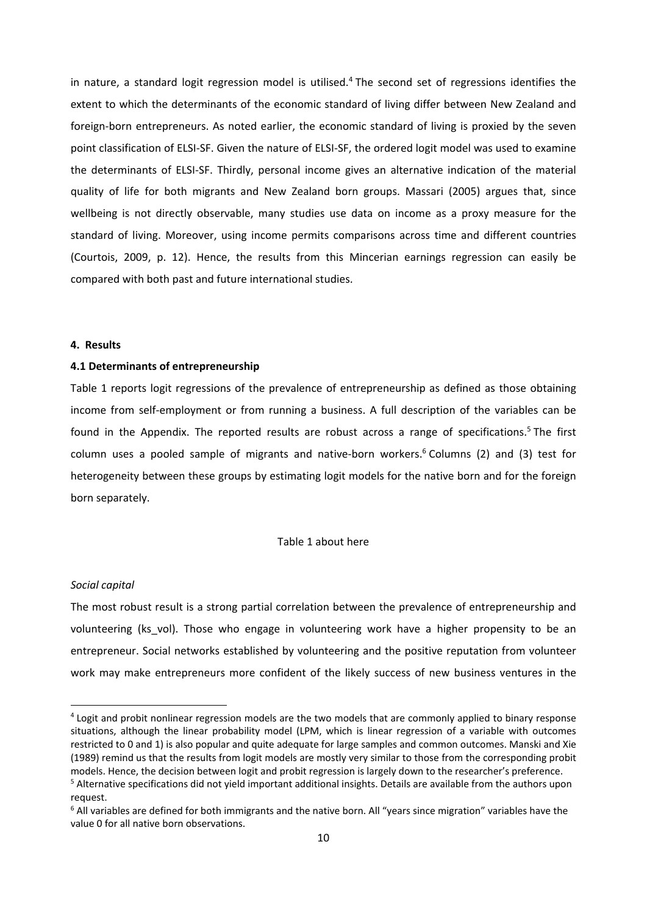in nature, a standard logit regression model is utilised.<sup>4</sup> The second set of regressions identifies the extent to which the determinants of the economic standard of living differ between New Zealand and foreign-born entrepreneurs. As noted earlier, the economic standard of living is proxied by the seven point classification of ELSI‐SF. Given the nature of ELSI‐SF, the ordered logit model was used to examine the determinants of ELSI‐SF. Thirdly, personal income gives an alternative indication of the material quality of life for both migrants and New Zealand born groups. Massari (2005) argues that, since wellbeing is not directly observable, many studies use data on income as a proxy measure for the standard of living. Moreover, using income permits comparisons across time and different countries (Courtois, 2009, p. 12). Hence, the results from this Mincerian earnings regression can easily be compared with both past and future international studies.

#### **4. Results**

#### **4.1 Determinants of entrepreneurship**

Table 1 reports logit regressions of the prevalence of entrepreneurship as defined as those obtaining income from self‐employment or from running a business. A full description of the variables can be found in the Appendix. The reported results are robust across a range of specifications.<sup>5</sup> The first column uses a pooled sample of migrants and native-born workers.<sup>6</sup> Columns (2) and (3) test for heterogeneity between these groups by estimating logit models for the native born and for the foreign born separately.

#### Table 1 about here

#### *Social capital*

The most robust result is a strong partial correlation between the prevalence of entrepreneurship and volunteering (ks\_vol). Those who engage in volunteering work have a higher propensity to be an entrepreneur. Social networks established by volunteering and the positive reputation from volunteer work may make entrepreneurs more confident of the likely success of new business ventures in the

<sup>4</sup> Logit and probit nonlinear regression models are the two models that are commonly applied to binary response situations, although the linear probability model (LPM, which is linear regression of a variable with outcomes restricted to 0 and 1) is also popular and quite adequate for large samples and common outcomes. Manski and Xie (1989) remind us that the results from logit models are mostly very similar to those from the corresponding probit models. Hence, the decision between logit and probit regression is largely down to the researcher's preference.

 $<sup>5</sup>$  Alternative specifications did not yield important additional insights. Details are available from the authors upon</sup> request.

 $6$  All variables are defined for both immigrants and the native born. All "years since migration" variables have the value 0 for all native born observations.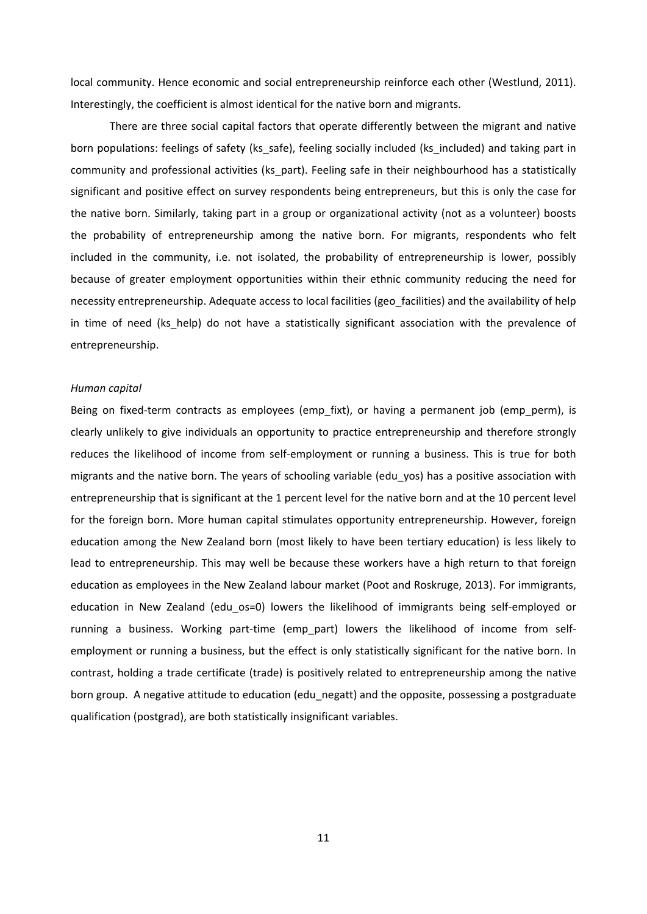local community. Hence economic and social entrepreneurship reinforce each other (Westlund, 2011). Interestingly, the coefficient is almost identical for the native born and migrants.

There are three social capital factors that operate differently between the migrant and native born populations: feelings of safety (ks\_safe), feeling socially included (ks\_included) and taking part in community and professional activities (ks\_part). Feeling safe in their neighbourhood has a statistically significant and positive effect on survey respondents being entrepreneurs, but this is only the case for the native born. Similarly, taking part in a group or organizational activity (not as a volunteer) boosts the probability of entrepreneurship among the native born. For migrants, respondents who felt included in the community, i.e. not isolated, the probability of entrepreneurship is lower, possibly because of greater employment opportunities within their ethnic community reducing the need for necessity entrepreneurship. Adequate access to local facilities (geo\_facilities) and the availability of help in time of need (ks help) do not have a statistically significant association with the prevalence of entrepreneurship.

#### *Human capital*

Being on fixed-term contracts as employees (emp\_fixt), or having a permanent job (emp\_perm), is clearly unlikely to give individuals an opportunity to practice entrepreneurship and therefore strongly reduces the likelihood of income from self-employment or running a business. This is true for both migrants and the native born. The years of schooling variable (edu\_yos) has a positive association with entrepreneurship that is significant at the 1 percent level for the native born and at the 10 percent level for the foreign born. More human capital stimulates opportunity entrepreneurship. However, foreign education among the New Zealand born (most likely to have been tertiary education) is less likely to lead to entrepreneurship. This may well be because these workers have a high return to that foreign education as employees in the New Zealand labour market (Poot and Roskruge, 2013). For immigrants, education in New Zealand (edu\_os=0) lowers the likelihood of immigrants being self-employed or running a business. Working part-time (emp\_part) lowers the likelihood of income from selfemployment or running a business, but the effect is only statistically significant for the native born. In contrast, holding a trade certificate (trade) is positively related to entrepreneurship among the native born group. A negative attitude to education (edu negatt) and the opposite, possessing a postgraduate qualification (postgrad), are both statistically insignificant variables.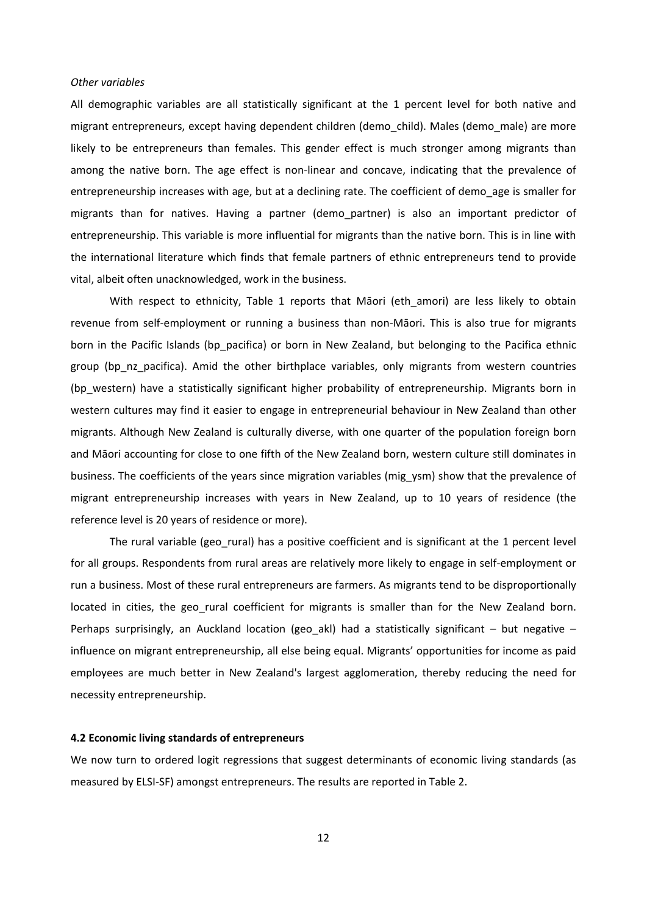#### *Other variables*

All demographic variables are all statistically significant at the 1 percent level for both native and migrant entrepreneurs, except having dependent children (demo\_child). Males (demo\_male) are more likely to be entrepreneurs than females. This gender effect is much stronger among migrants than among the native born. The age effect is non-linear and concave, indicating that the prevalence of entrepreneurship increases with age, but at a declining rate. The coefficient of demo\_age is smaller for migrants than for natives. Having a partner (demo partner) is also an important predictor of entrepreneurship. This variable is more influential for migrants than the native born. This is in line with the international literature which finds that female partners of ethnic entrepreneurs tend to provide vital, albeit often unacknowledged, work in the business.

With respect to ethnicity, Table 1 reports that Māori (eth\_amori) are less likely to obtain revenue from self-employment or running a business than non-Māori. This is also true for migrants born in the Pacific Islands (bp\_pacifica) or born in New Zealand, but belonging to the Pacifica ethnic group (bp nz pacifica). Amid the other birthplace variables, only migrants from western countries (bp western) have a statistically significant higher probability of entrepreneurship. Migrants born in western cultures may find it easier to engage in entrepreneurial behaviour in New Zealand than other migrants. Although New Zealand is culturally diverse, with one quarter of the population foreign born and Māori accounting for close to one fifth of the New Zealand born, western culture still dominates in business. The coefficients of the years since migration variables (mig\_ysm) show that the prevalence of migrant entrepreneurship increases with years in New Zealand, up to 10 years of residence (the reference level is 20 years of residence or more).

The rural variable (geo\_rural) has a positive coefficient and is significant at the 1 percent level for all groups. Respondents from rural areas are relatively more likely to engage in self-employment or run a business. Most of these rural entrepreneurs are farmers. As migrants tend to be disproportionally located in cities, the geo\_rural coefficient for migrants is smaller than for the New Zealand born. Perhaps surprisingly, an Auckland location (geo\_akl) had a statistically significant - but negative influence on migrant entrepreneurship, all else being equal. Migrants' opportunities for income as paid employees are much better in New Zealand's largest agglomeration, thereby reducing the need for necessity entrepreneurship.

#### **4.2 Economic living standards of entrepreneurs**

We now turn to ordered logit regressions that suggest determinants of economic living standards (as measured by ELSI‐SF) amongst entrepreneurs. The results are reported in Table 2.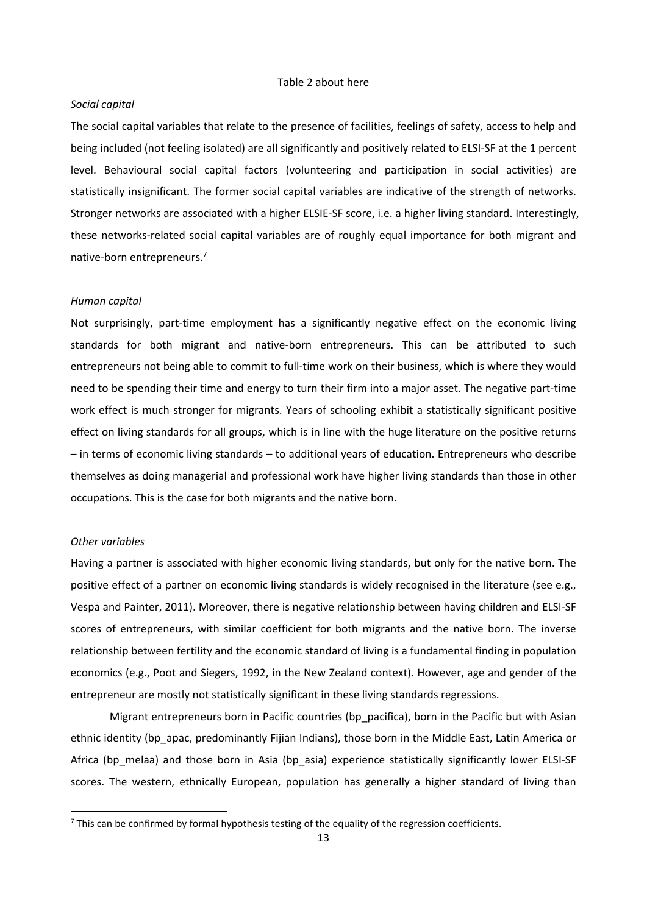#### Table 2 about here

#### *Social capital*

The social capital variables that relate to the presence of facilities, feelings of safety, access to help and being included (not feeling isolated) are all significantly and positively related to ELSI‐SF at the 1 percent level. Behavioural social capital factors (volunteering and participation in social activities) are statistically insignificant. The former social capital variables are indicative of the strength of networks. Stronger networks are associated with a higher ELSIE‐SF score, i.e. a higher living standard. Interestingly, these networks‐related social capital variables are of roughly equal importance for both migrant and native-born entrepreneurs.<sup>7</sup>

#### *Human capital*

Not surprisingly, part‐time employment has a significantly negative effect on the economic living standards for both migrant and native-born entrepreneurs. This can be attributed to such entrepreneurs not being able to commit to full-time work on their business, which is where they would need to be spending their time and energy to turn their firm into a major asset. The negative part‐time work effect is much stronger for migrants. Years of schooling exhibit a statistically significant positive effect on living standards for all groups, which is in line with the huge literature on the positive returns – in terms of economic living standards – to additional years of education. Entrepreneurs who describe themselves as doing managerial and professional work have higher living standards than those in other occupations. This is the case for both migrants and the native born.

#### *Other variables*

Having a partner is associated with higher economic living standards, but only for the native born. The positive effect of a partner on economic living standards is widely recognised in the literature (see e.g., Vespa and Painter, 2011). Moreover, there is negative relationship between having children and ELSI‐SF scores of entrepreneurs, with similar coefficient for both migrants and the native born. The inverse relationship between fertility and the economic standard of living is a fundamental finding in population economics (e.g., Poot and Siegers, 1992, in the New Zealand context). However, age and gender of the entrepreneur are mostly not statistically significant in these living standards regressions.

Migrant entrepreneurs born in Pacific countries (bp\_pacifica), born in the Pacific but with Asian ethnic identity (bp\_apac, predominantly Fijian Indians), those born in the Middle East, Latin America or Africa (bp\_melaa) and those born in Asia (bp\_asia) experience statistically significantly lower ELSI-SF scores. The western, ethnically European, population has generally a higher standard of living than

<sup>&</sup>lt;sup>7</sup> This can be confirmed by formal hypothesis testing of the equality of the regression coefficients.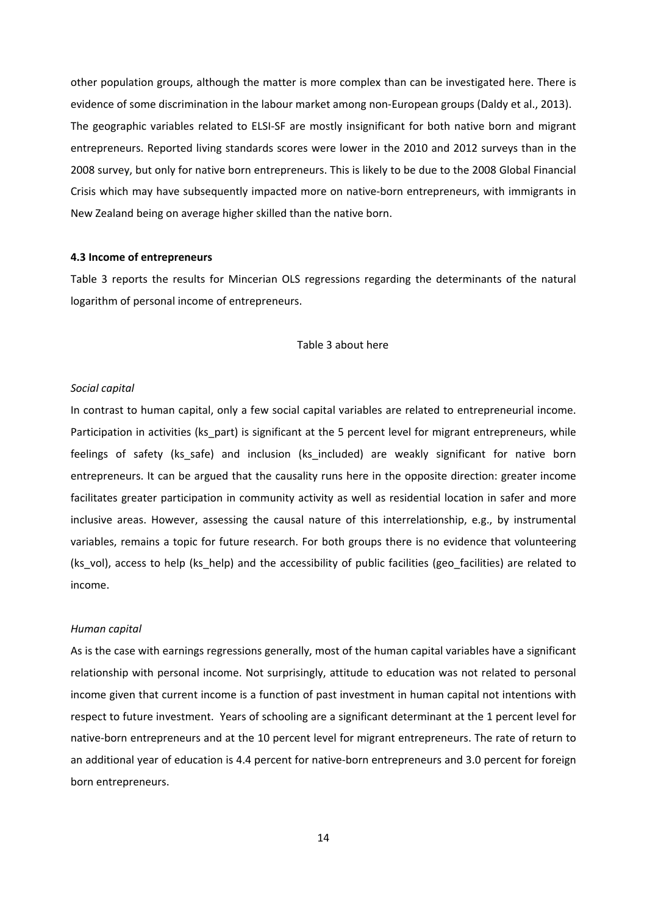other population groups, although the matter is more complex than can be investigated here. There is evidence of some discrimination in the labour market among non-European groups (Daldy et al., 2013). The geographic variables related to ELSI‐SF are mostly insignificant for both native born and migrant entrepreneurs. Reported living standards scores were lower in the 2010 and 2012 surveys than in the 2008 survey, but only for native born entrepreneurs. This is likely to be due to the 2008 Global Financial Crisis which may have subsequently impacted more on native‐born entrepreneurs, with immigrants in New Zealand being on average higher skilled than the native born.

#### **4.3 Income of entrepreneurs**

Table 3 reports the results for Mincerian OLS regressions regarding the determinants of the natural logarithm of personal income of entrepreneurs.

#### Table 3 about here

#### *Social capital*

In contrast to human capital, only a few social capital variables are related to entrepreneurial income. Participation in activities (ks\_part) is significant at the 5 percent level for migrant entrepreneurs, while feelings of safety (ks\_safe) and inclusion (ks\_included) are weakly significant for native born entrepreneurs. It can be argued that the causality runs here in the opposite direction: greater income facilitates greater participation in community activity as well as residential location in safer and more inclusive areas. However, assessing the causal nature of this interrelationship, e.g., by instrumental variables, remains a topic for future research. For both groups there is no evidence that volunteering (ks\_vol), access to help (ks\_help) and the accessibility of public facilities (geo\_facilities) are related to income.

#### *Human capital*

As is the case with earnings regressions generally, most of the human capital variables have a significant relationship with personal income. Not surprisingly, attitude to education was not related to personal income given that current income is a function of past investment in human capital not intentions with respect to future investment. Years of schooling are a significant determinant at the 1 percent level for native‐born entrepreneurs and at the 10 percent level for migrant entrepreneurs. The rate of return to an additional year of education is 4.4 percent for native-born entrepreneurs and 3.0 percent for foreign born entrepreneurs.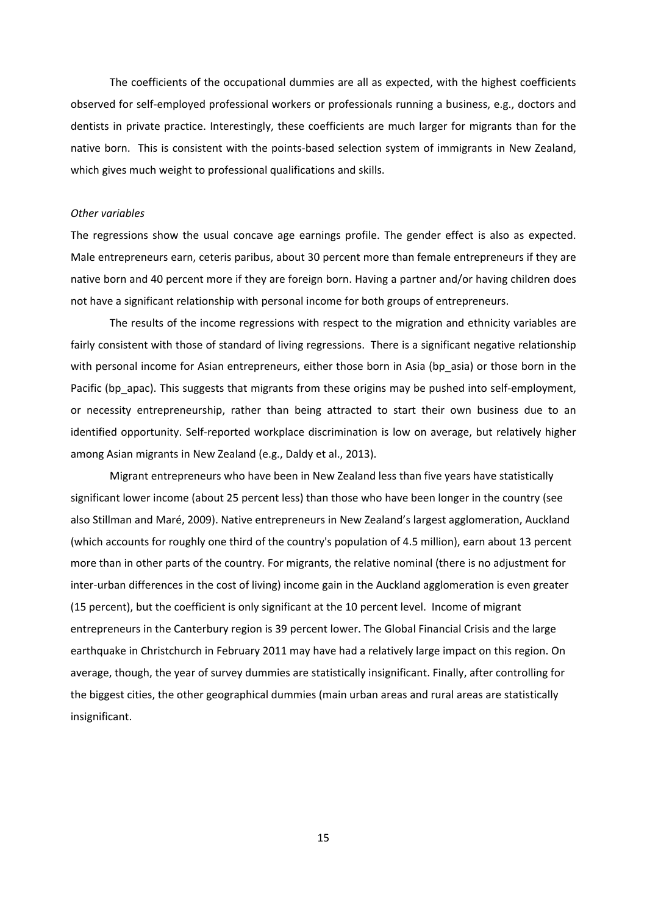The coefficients of the occupational dummies are all as expected, with the highest coefficients observed for self‐employed professional workers or professionals running a business, e.g., doctors and dentists in private practice. Interestingly, these coefficients are much larger for migrants than for the native born. This is consistent with the points‐based selection system of immigrants in New Zealand, which gives much weight to professional qualifications and skills.

#### *Other variables*

The regressions show the usual concave age earnings profile. The gender effect is also as expected. Male entrepreneurs earn, ceteris paribus, about 30 percent more than female entrepreneurs if they are native born and 40 percent more if they are foreign born. Having a partner and/or having children does not have a significant relationship with personal income for both groups of entrepreneurs.

The results of the income regressions with respect to the migration and ethnicity variables are fairly consistent with those of standard of living regressions. There is a significant negative relationship with personal income for Asian entrepreneurs, either those born in Asia (bp\_asia) or those born in the Pacific (bp apac). This suggests that migrants from these origins may be pushed into self-employment, or necessity entrepreneurship, rather than being attracted to start their own business due to an identified opportunity. Self-reported workplace discrimination is low on average, but relatively higher among Asian migrants in New Zealand (e.g., Daldy et al., 2013).

Migrant entrepreneurs who have been in New Zealand less than five years have statistically significant lower income (about 25 percent less) than those who have been longer in the country (see also Stillman and Maré, 2009). Native entrepreneurs in New Zealand's largest agglomeration, Auckland (which accounts for roughly one third of the country's population of 4.5 million), earn about 13 percent more than in other parts of the country. For migrants, the relative nominal (there is no adjustment for inter-urban differences in the cost of living) income gain in the Auckland agglomeration is even greater (15 percent), but the coefficient is only significant at the 10 percent level. Income of migrant entrepreneurs in the Canterbury region is 39 percent lower. The Global Financial Crisis and the large earthquake in Christchurch in February 2011 may have had a relatively large impact on this region. On average, though, the year of survey dummies are statistically insignificant. Finally, after controlling for the biggest cities, the other geographical dummies (main urban areas and rural areas are statistically insignificant.

15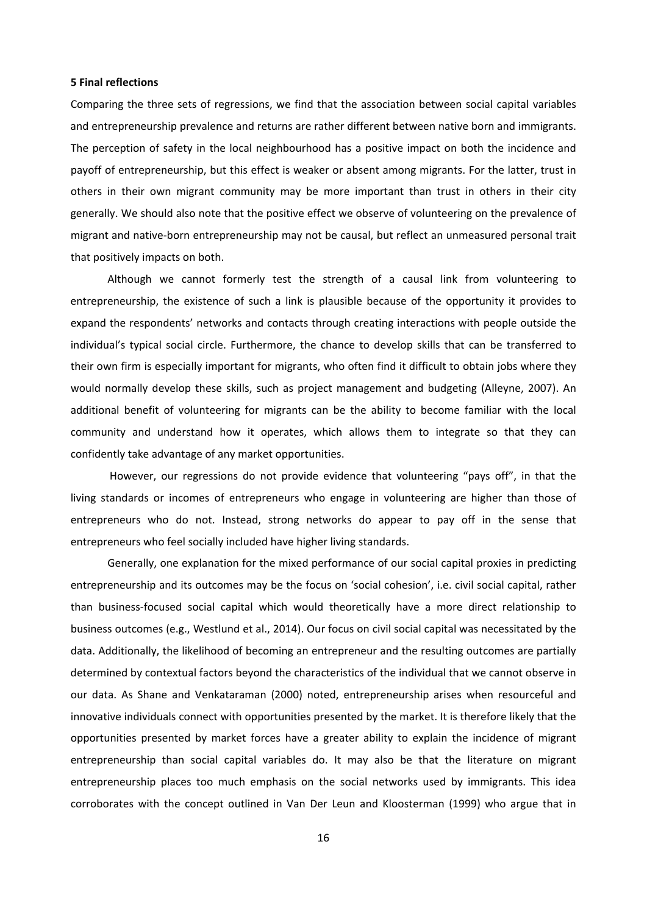#### **5 Final reflections**

Comparing the three sets of regressions, we find that the association between social capital variables and entrepreneurship prevalence and returns are rather different between native born and immigrants. The perception of safety in the local neighbourhood has a positive impact on both the incidence and payoff of entrepreneurship, but this effect is weaker or absent among migrants. For the latter, trust in others in their own migrant community may be more important than trust in others in their city generally. We should also note that the positive effect we observe of volunteering on the prevalence of migrant and native‐born entrepreneurship may not be causal, but reflect an unmeasured personal trait that positively impacts on both.

Although we cannot formerly test the strength of a causal link from volunteering to entrepreneurship, the existence of such a link is plausible because of the opportunity it provides to expand the respondents' networks and contacts through creating interactions with people outside the individual's typical social circle. Furthermore, the chance to develop skills that can be transferred to their own firm is especially important for migrants, who often find it difficult to obtain jobs where they would normally develop these skills, such as project management and budgeting (Alleyne, 2007). An additional benefit of volunteering for migrants can be the ability to become familiar with the local community and understand how it operates, which allows them to integrate so that they can confidently take advantage of any market opportunities.

However, our regressions do not provide evidence that volunteering "pays off", in that the living standards or incomes of entrepreneurs who engage in volunteering are higher than those of entrepreneurs who do not. Instead, strong networks do appear to pay off in the sense that entrepreneurs who feel socially included have higher living standards.

Generally, one explanation for the mixed performance of our social capital proxies in predicting entrepreneurship and its outcomes may be the focus on 'social cohesion', i.e. civil social capital, rather than business‐focused social capital which would theoretically have a more direct relationship to business outcomes (e.g., Westlund et al., 2014). Our focus on civil social capital was necessitated by the data. Additionally, the likelihood of becoming an entrepreneur and the resulting outcomes are partially determined by contextual factors beyond the characteristics of the individual that we cannot observe in our data. As Shane and Venkataraman (2000) noted, entrepreneurship arises when resourceful and innovative individuals connect with opportunities presented by the market. It is therefore likely that the opportunities presented by market forces have a greater ability to explain the incidence of migrant entrepreneurship than social capital variables do. It may also be that the literature on migrant entrepreneurship places too much emphasis on the social networks used by immigrants. This idea corroborates with the concept outlined in Van Der Leun and Kloosterman (1999) who argue that in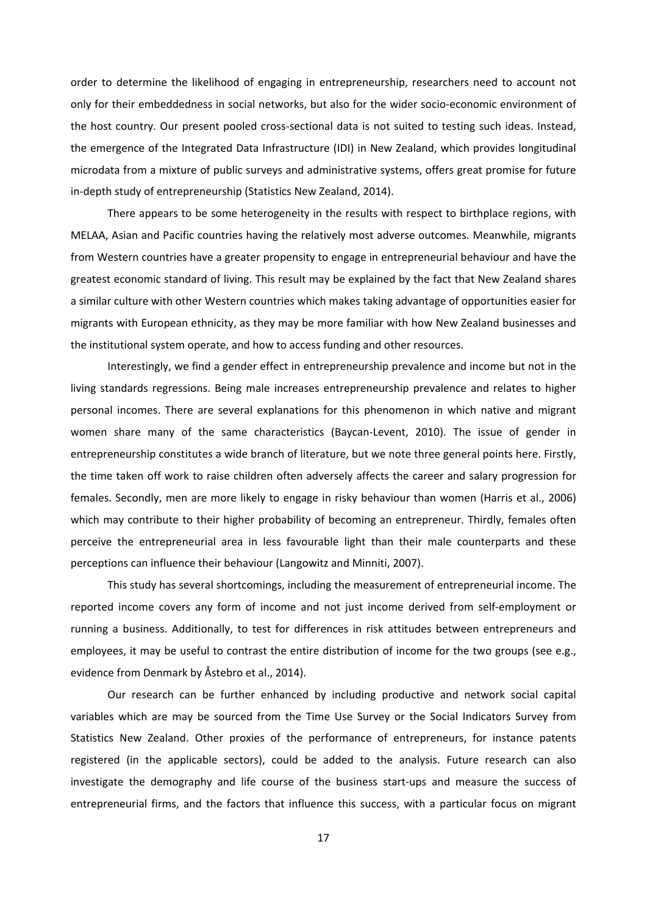order to determine the likelihood of engaging in entrepreneurship, researchers need to account not only for their embeddedness in social networks, but also for the wider socio‐economic environment of the host country. Our present pooled cross‐sectional data is not suited to testing such ideas. Instead, the emergence of the Integrated Data Infrastructure (IDI) in New Zealand, which provides longitudinal microdata from a mixture of public surveys and administrative systems, offers great promise for future in‐depth study of entrepreneurship (Statistics New Zealand, 2014).

There appears to be some heterogeneity in the results with respect to birthplace regions, with MELAA, Asian and Pacific countries having the relatively most adverse outcomes. Meanwhile, migrants from Western countries have a greater propensity to engage in entrepreneurial behaviour and have the greatest economic standard of living. This result may be explained by the fact that New Zealand shares a similar culture with other Western countries which makes taking advantage of opportunities easier for migrants with European ethnicity, as they may be more familiar with how New Zealand businesses and the institutional system operate, and how to access funding and other resources.

Interestingly, we find a gender effect in entrepreneurship prevalence and income but not in the living standards regressions. Being male increases entrepreneurship prevalence and relates to higher personal incomes. There are several explanations for this phenomenon in which native and migrant women share many of the same characteristics (Baycan-Levent, 2010). The issue of gender in entrepreneurship constitutes a wide branch of literature, but we note three general points here. Firstly, the time taken off work to raise children often adversely affects the career and salary progression for females. Secondly, men are more likely to engage in risky behaviour than women (Harris et al., 2006) which may contribute to their higher probability of becoming an entrepreneur. Thirdly, females often perceive the entrepreneurial area in less favourable light than their male counterparts and these perceptions can influence their behaviour (Langowitz and Minniti, 2007).

This study has several shortcomings, including the measurement of entrepreneurial income. The reported income covers any form of income and not just income derived from self‐employment or running a business. Additionally, to test for differences in risk attitudes between entrepreneurs and employees, it may be useful to contrast the entire distribution of income for the two groups (see e.g., evidence from Denmark by Åstebro et al., 2014).

Our research can be further enhanced by including productive and network social capital variables which are may be sourced from the Time Use Survey or the Social Indicators Survey from Statistics New Zealand. Other proxies of the performance of entrepreneurs, for instance patents registered (in the applicable sectors), could be added to the analysis. Future research can also investigate the demography and life course of the business start‐ups and measure the success of entrepreneurial firms, and the factors that influence this success, with a particular focus on migrant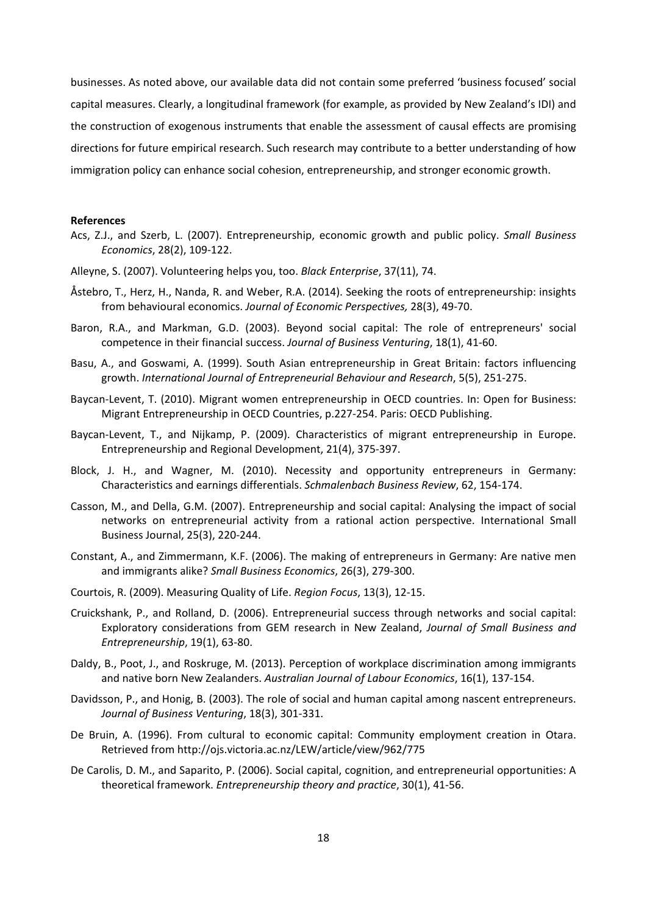businesses. As noted above, our available data did not contain some preferred 'business focused' social capital measures. Clearly, a longitudinal framework (for example, as provided by New Zealand's IDI) and the construction of exogenous instruments that enable the assessment of causal effects are promising directions for future empirical research. Such research may contribute to a better understanding of how immigration policy can enhance social cohesion, entrepreneurship, and stronger economic growth.

#### **References**

- Acs, Z.J., and Szerb, L. (2007). Entrepreneurship, economic growth and public policy. *Small Business Economics*, 28(2), 109‐122.
- Alleyne, S. (2007). Volunteering helps you, too. *Black Enterprise*, 37(11), 74.
- Åstebro, T., Herz, H., Nanda, R. and Weber, R.A. (2014). Seeking the roots of entrepreneurship: insights from behavioural economics. *Journal of Economic Perspectives,* 28(3), 49‐70.
- Baron, R.A., and Markman, G.D. (2003). Beyond social capital: The role of entrepreneurs' social competence in their financial success. *Journal of Business Venturing*, 18(1), 41‐60.
- Basu, A., and Goswami, A. (1999). South Asian entrepreneurship in Great Britain: factors influencing growth. *International Journal of Entrepreneurial Behaviour and Research*, 5(5), 251‐275.
- Baycan‐Levent, T. (2010). Migrant women entrepreneurship in OECD countries. In: Open for Business: Migrant Entrepreneurship in OECD Countries, p.227‐254. Paris: OECD Publishing.
- Baycan‐Levent, T., and Nijkamp, P. (2009). Characteristics of migrant entrepreneurship in Europe. Entrepreneurship and Regional Development, 21(4), 375‐397.
- Block, J. H., and Wagner, M. (2010). Necessity and opportunity entrepreneurs in Germany: Characteristics and earnings differentials. *Schmalenbach Business Review*, 62, 154‐174.
- Casson, M., and Della, G.M. (2007). Entrepreneurship and social capital: Analysing the impact of social networks on entrepreneurial activity from a rational action perspective. International Small Business Journal, 25(3), 220‐244.
- Constant, A., and Zimmermann, K.F. (2006). The making of entrepreneurs in Germany: Are native men and immigrants alike? *Small Business Economics*, 26(3), 279‐300.
- Courtois, R. (2009). Measuring Quality of Life. *Region Focus*, 13(3), 12‐15.
- Cruickshank, P., and Rolland, D. (2006). Entrepreneurial success through networks and social capital: Exploratory considerations from GEM research in New Zealand, *Journal of Small Business and Entrepreneurship*, 19(1), 63‐80.
- Daldy, B., Poot, J., and Roskruge, M. (2013). Perception of workplace discrimination among immigrants and native born New Zealanders. *Australian Journal of Labour Economics*, 16(1), 137‐154.
- Davidsson, P., and Honig, B. (2003). The role of social and human capital among nascent entrepreneurs. *Journal of Business Venturing*, 18(3), 301‐331.
- De Bruin, A. (1996). From cultural to economic capital: Community employment creation in Otara. Retrieved from http://ojs.victoria.ac.nz/LEW/article/view/962/775
- De Carolis, D. M., and Saparito, P. (2006). Social capital, cognition, and entrepreneurial opportunities: A theoretical framework. *Entrepreneurship theory and practice*, 30(1), 41‐56.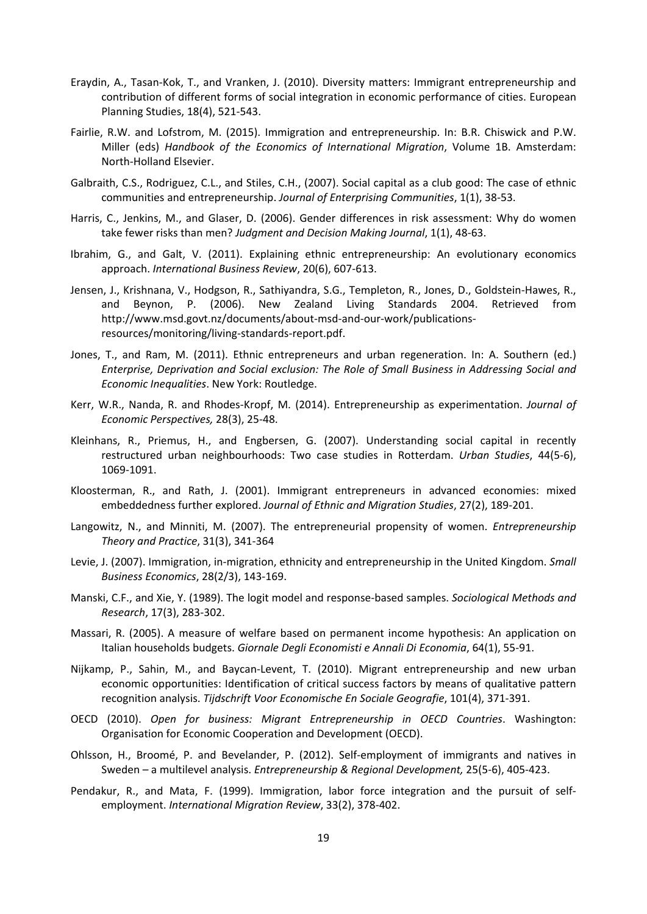- Eraydin, A., Tasan‐Kok, T., and Vranken, J. (2010). Diversity matters: Immigrant entrepreneurship and contribution of different forms of social integration in economic performance of cities. European Planning Studies, 18(4), 521‐543.
- Fairlie, R.W. and Lofstrom, M. (2015). Immigration and entrepreneurship. In: B.R. Chiswick and P.W. Miller (eds) *Handbook of the Economics of International Migration*, Volume 1B. Amsterdam: North‐Holland Elsevier.
- Galbraith, C.S., Rodriguez, C.L., and Stiles, C.H., (2007). Social capital as a club good: The case of ethnic communities and entrepreneurship. *Journal of Enterprising Communities*, 1(1), 38‐53.
- Harris, C., Jenkins, M., and Glaser, D. (2006). Gender differences in risk assessment: Why do women take fewer risks than men? *Judgment and Decision Making Journal*, 1(1), 48‐63.
- Ibrahim, G., and Galt, V. (2011). Explaining ethnic entrepreneurship: An evolutionary economics approach. *International Business Review*, 20(6), 607‐613.
- Jensen, J., Krishnana, V., Hodgson, R., Sathiyandra, S.G., Templeton, R., Jones, D., Goldstein‐Hawes, R., and Beynon, P. (2006). New Zealand Living Standards 2004. Retrieved from http://www.msd.govt.nz/documents/about-msd-and-our-work/publicationsresources/monitoring/living‐standards‐report.pdf.
- Jones, T., and Ram, M. (2011). Ethnic entrepreneurs and urban regeneration. In: A. Southern (ed.) *Enterprise, Deprivation and Social exclusion: The Role of Small Business in Addressing Social and Economic Inequalities*. New York: Routledge.
- Kerr, W.R., Nanda, R. and Rhodes‐Kropf, M. (2014). Entrepreneurship as experimentation. *Journal of Economic Perspectives,* 28(3), 25‐48.
- Kleinhans, R., Priemus, H., and Engbersen, G. (2007). Understanding social capital in recently restructured urban neighbourhoods: Two case studies in Rotterdam. *Urban Studies*, 44(5‐6), 1069‐1091.
- Kloosterman, R., and Rath, J. (2001). Immigrant entrepreneurs in advanced economies: mixed embeddedness further explored. *Journal of Ethnic and Migration Studies*, 27(2), 189‐201.
- Langowitz, N., and Minniti, M. (2007). The entrepreneurial propensity of women. *Entrepreneurship Theory and Practice*, 31(3), 341‐364
- Levie, J. (2007). Immigration, in‐migration, ethnicity and entrepreneurship in the United Kingdom. *Small Business Economics*, 28(2/3), 143‐169.
- Manski, C.F., and Xie, Y. (1989). The logit model and response‐based samples. *Sociological Methods and Research*, 17(3), 283‐302.
- Massari, R. (2005). A measure of welfare based on permanent income hypothesis: An application on Italian households budgets. *Giornale Degli Economisti e Annali Di Economia*, 64(1), 55‐91.
- Nijkamp, P., Sahin, M., and Baycan‐Levent, T. (2010). Migrant entrepreneurship and new urban economic opportunities: Identification of critical success factors by means of qualitative pattern recognition analysis. *Tijdschrift Voor Economische En Sociale Geografie*, 101(4), 371‐391.
- OECD (2010). *Open for business: Migrant Entrepreneurship in OECD Countries*. Washington: Organisation for Economic Cooperation and Development (OECD).
- Ohlsson, H., Broomé, P. and Bevelander, P. (2012). Self‐employment of immigrants and natives in Sweden – a multilevel analysis. *Entrepreneurship & Regional Development,* 25(5‐6), 405‐423.
- Pendakur, R., and Mata, F. (1999). Immigration, labor force integration and the pursuit of self‐ employment. *International Migration Review*, 33(2), 378‐402.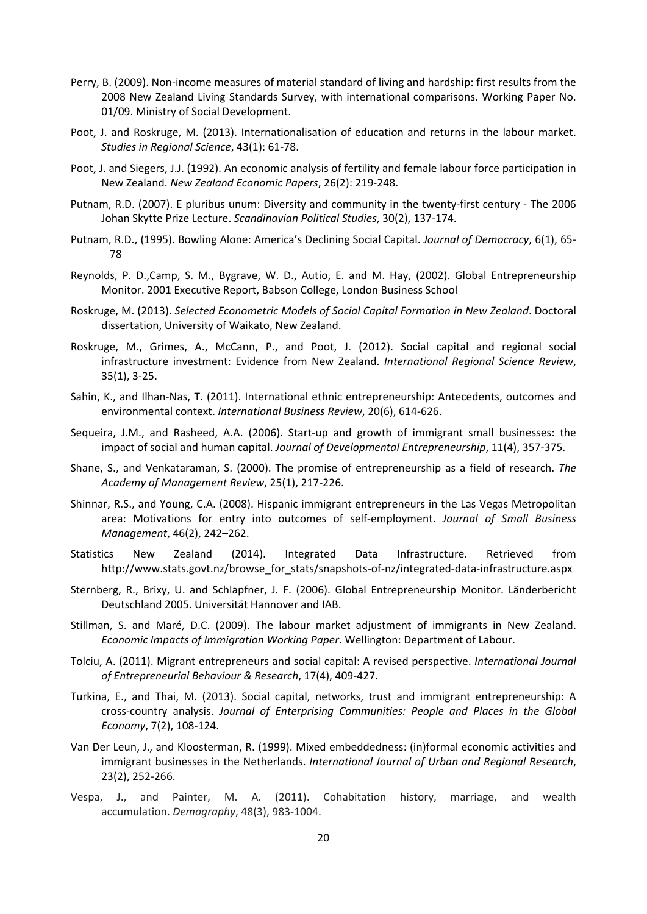- Perry, B. (2009). Non‐income measures of material standard of living and hardship: first results from the 2008 New Zealand Living Standards Survey, with international comparisons. Working Paper No. 01/09. Ministry of Social Development.
- Poot, J. and Roskruge, M. (2013). Internationalisation of education and returns in the labour market. *Studies in Regional Science*, 43(1): 61‐78.
- Poot, J. and Siegers, J.J. (1992). An economic analysis of fertility and female labour force participation in New Zealand. *New Zealand Economic Papers*, 26(2): 219‐248.
- Putnam, R.D. (2007). E pluribus unum: Diversity and community in the twenty‐first century ‐ The 2006 Johan Skytte Prize Lecture. *Scandinavian Political Studies*, 30(2), 137‐174.
- Putnam, R.D., (1995). Bowling Alone: America's Declining Social Capital. *Journal of Democracy*, 6(1), 65‐ 78
- Reynolds, P. D.,Camp, S. M., Bygrave, W. D., Autio, E. and M. Hay, (2002). Global Entrepreneurship Monitor. 2001 Executive Report, Babson College, London Business School
- Roskruge, M. (2013). *Selected Econometric Models of Social Capital Formation in New Zealand*. Doctoral dissertation, University of Waikato, New Zealand.
- Roskruge, M., Grimes, A., McCann, P., and Poot, J. (2012). Social capital and regional social infrastructure investment: Evidence from New Zealand. *International Regional Science Review*, 35(1), 3‐25.
- Sahin, K., and Ilhan‐Nas, T. (2011). International ethnic entrepreneurship: Antecedents, outcomes and environmental context. *International Business Review*, 20(6), 614‐626.
- Sequeira, J.M., and Rasheed, A.A. (2006). Start‐up and growth of immigrant small businesses: the impact of social and human capital. *Journal of Developmental Entrepreneurship*, 11(4), 357‐375.
- Shane, S., and Venkataraman, S. (2000). The promise of entrepreneurship as a field of research. *The Academy of Management Review*, 25(1), 217‐226.
- Shinnar, R.S., and Young, C.A. (2008). Hispanic immigrant entrepreneurs in the Las Vegas Metropolitan area: Motivations for entry into outcomes of self‐employment. *Journal of Small Business Management*, 46(2), 242–262.
- Statistics New Zealand (2014). Integrated Data Infrastructure. Retrieved from http://www.stats.govt.nz/browse\_for\_stats/snapshots-of-nz/integrated-data-infrastructure.aspx
- Sternberg, R., Brixy, U. and Schlapfner, J. F. (2006). Global Entrepreneurship Monitor. Länderbericht Deutschland 2005. Universität Hannover and IAB.
- Stillman, S. and Maré, D.C. (2009). The labour market adjustment of immigrants in New Zealand. *Economic Impacts of Immigration Working Paper*. Wellington: Department of Labour.
- Tolciu, A. (2011). Migrant entrepreneurs and social capital: A revised perspective. *International Journal of Entrepreneurial Behaviour & Research*, 17(4), 409‐427.
- Turkina, E., and Thai, M. (2013). Social capital, networks, trust and immigrant entrepreneurship: A cross‐country analysis. *Journal of Enterprising Communities: People and Places in the Global Economy*, 7(2), 108‐124.
- Van Der Leun, J., and Kloosterman, R. (1999). Mixed embeddedness: (in)formal economic activities and immigrant businesses in the Netherlands. *International Journal of Urban and Regional Research*, 23(2), 252‐266.
- Vespa, J., and Painter, M. A. (2011). Cohabitation history, marriage, and wealth accumulation. *Demography*, 48(3), 983‐1004.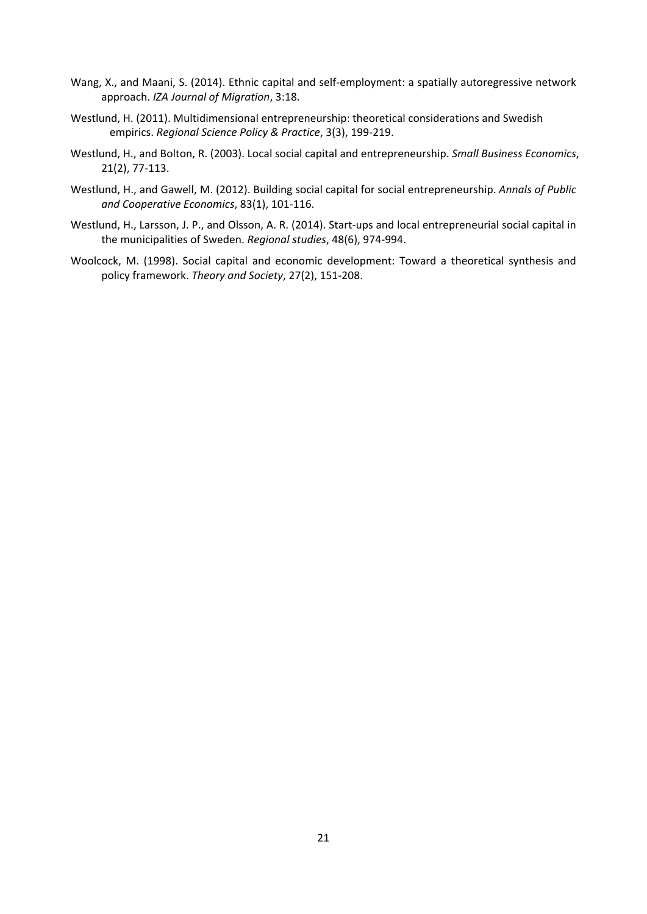- Wang, X., and Maani, S. (2014). Ethnic capital and self-employment: a spatially autoregressive network approach. *IZA Journal of Migration*, 3:18.
- Westlund, H. (2011). Multidimensional entrepreneurship: theoretical considerations and Swedish empirics. *Regional Science Policy & Practice*, 3(3), 199‐219.
- Westlund, H., and Bolton, R. (2003). Local social capital and entrepreneurship. *Small Business Economics*, 21(2), 77‐113.
- Westlund, H., and Gawell, M. (2012). Building social capital for social entrepreneurship. *Annals of Public and Cooperative Economics*, 83(1), 101‐116.
- Westlund, H., Larsson, J. P., and Olsson, A. R. (2014). Start-ups and local entrepreneurial social capital in the municipalities of Sweden. *Regional studies*, 48(6), 974‐994.
- Woolcock, M. (1998). Social capital and economic development: Toward a theoretical synthesis and policy framework. *Theory and Society*, 27(2), 151‐208.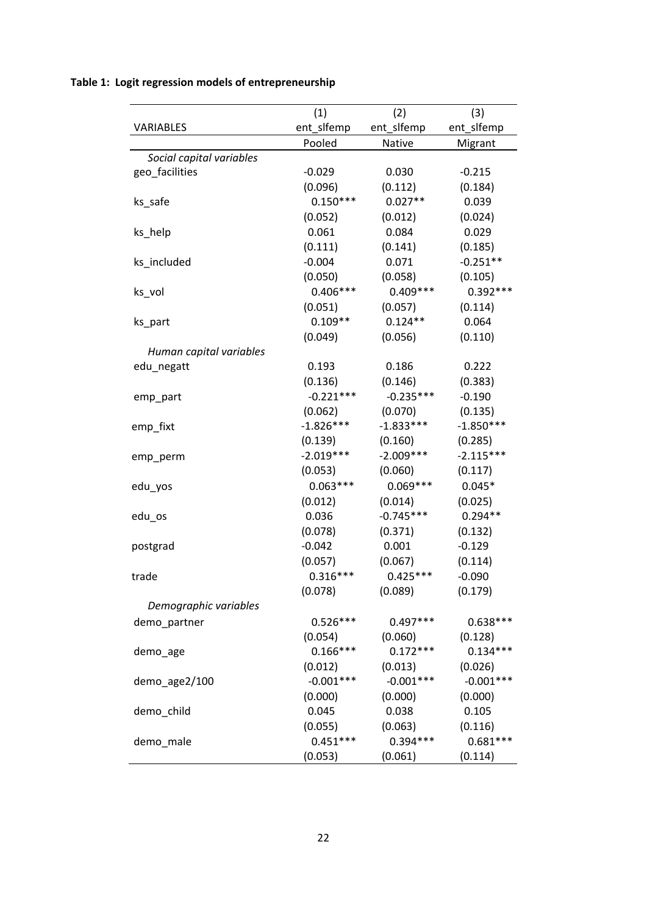|                          | (1)         | (2)         | (3)         |
|--------------------------|-------------|-------------|-------------|
| VARIABLES                | ent_slfemp  | ent_slfemp  | ent_slfemp  |
|                          | Pooled      | Native      | Migrant     |
| Social capital variables |             |             |             |
| geo_facilities           | $-0.029$    | 0.030       | $-0.215$    |
|                          | (0.096)     | (0.112)     | (0.184)     |
| ks_safe                  | $0.150***$  | $0.027**$   | 0.039       |
|                          | (0.052)     | (0.012)     | (0.024)     |
| ks_help                  | 0.061       | 0.084       | 0.029       |
|                          | (0.111)     | (0.141)     | (0.185)     |
| ks_included              | $-0.004$    | 0.071       | $-0.251**$  |
|                          | (0.050)     | (0.058)     | (0.105)     |
| ks_vol                   | $0.406***$  | $0.409***$  | $0.392***$  |
|                          | (0.051)     | (0.057)     | (0.114)     |
| ks_part                  | $0.109**$   | $0.124**$   | 0.064       |
|                          | (0.049)     | (0.056)     | (0.110)     |
| Human capital variables  |             |             |             |
| edu_negatt               | 0.193       | 0.186       | 0.222       |
|                          | (0.136)     | (0.146)     | (0.383)     |
| emp_part                 | $-0.221***$ | $-0.235***$ | $-0.190$    |
|                          | (0.062)     | (0.070)     | (0.135)     |
| emp_fixt                 | $-1.826***$ | $-1.833***$ | $-1.850***$ |
|                          | (0.139)     | (0.160)     | (0.285)     |
| emp_perm                 | $-2.019***$ | $-2.009***$ | $-2.115***$ |
|                          | (0.053)     | (0.060)     | (0.117)     |
| edu_yos                  | $0.063***$  | $0.069***$  | $0.045*$    |
|                          | (0.012)     | (0.014)     | (0.025)     |
| edu_os                   | 0.036       | $-0.745***$ | $0.294**$   |
|                          | (0.078)     | (0.371)     | (0.132)     |
| postgrad                 | $-0.042$    | 0.001       | $-0.129$    |
|                          | (0.057)     | (0.067)     | (0.114)     |
| trade                    | $0.316***$  | $0.425***$  | $-0.090$    |
|                          | (0.078)     | (0.089)     | (0.179)     |
| Demographic variables    |             |             |             |
| demo_partner             | $0.526***$  | $0.497***$  | $0.638***$  |
|                          | (0.054)     | (0.060)     | (0.128)     |
| demo_age                 | $0.166***$  | $0.172***$  | $0.134***$  |
|                          | (0.012)     | (0.013)     | (0.026)     |
| demo_age2/100            | $-0.001***$ | $-0.001***$ | $-0.001***$ |
|                          | (0.000)     | (0.000)     | (0.000)     |
| demo_child               | 0.045       | 0.038       | 0.105       |
|                          | (0.055)     | (0.063)     | (0.116)     |
| demo_male                | $0.451***$  | $0.394***$  | $0.681***$  |
|                          | (0.053)     | (0.061)     | (0.114)     |

### **Table 1: Logit regression models of entrepreneurship**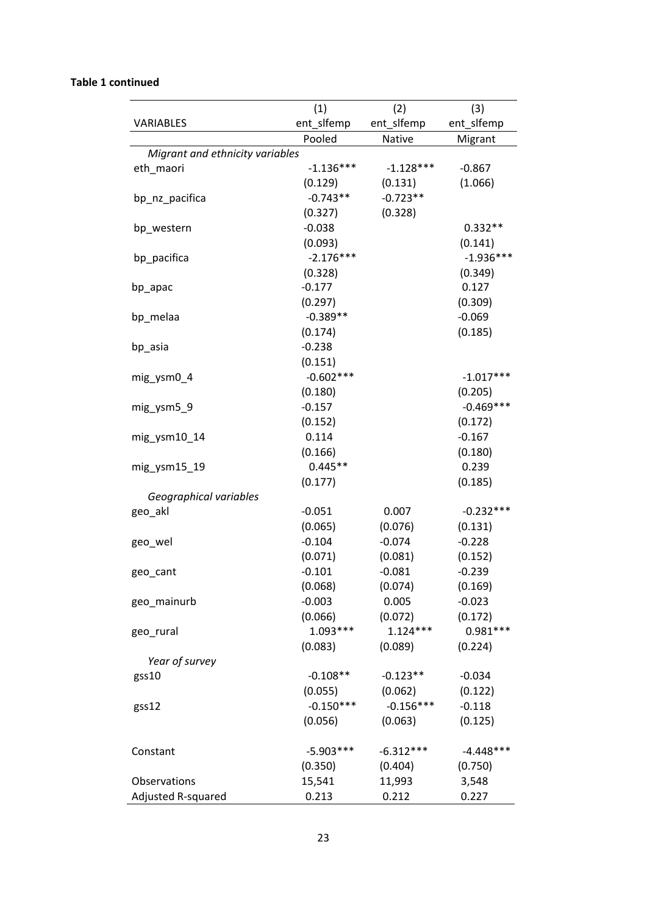#### **Table 1 continued**

| VARIABLES<br>ent_slfemp<br>ent_slfemp               | ent_slfemp  |
|-----------------------------------------------------|-------------|
| Pooled<br>Native<br>Migrant                         |             |
| Migrant and ethnicity variables                     |             |
| $-1.136***$<br>$-1.128***$<br>$-0.867$<br>eth_maori |             |
| (0.131)<br>(1.066)<br>(0.129)                       |             |
| $-0.743**$<br>$-0.723**$<br>bp_nz_pacifica          |             |
| (0.327)<br>(0.328)                                  |             |
| $-0.038$<br>bp_western                              | $0.332**$   |
| (0.093)<br>(0.141)                                  |             |
| $-2.176***$<br>bp_pacifica                          | $-1.936***$ |
| (0.328)<br>(0.349)                                  |             |
| $-0.177$<br>0.127<br>bp_apac                        |             |
| (0.297)<br>(0.309)                                  |             |
| $-0.389**$<br>$-0.069$<br>bp_melaa                  |             |
| (0.174)<br>(0.185)                                  |             |
| $-0.238$<br>bp_asia                                 |             |
| (0.151)                                             |             |
| $-0.602***$<br>mig_ysm0_4                           | $-1.017***$ |
| (0.180)<br>(0.205)                                  |             |
| $-0.157$<br>mig_ysm5_9                              | $-0.469***$ |
| (0.152)<br>(0.172)                                  |             |
| 0.114<br>$-0.167$<br>mig_ysm10_14                   |             |
| (0.180)<br>(0.166)                                  |             |
| $0.445**$<br>0.239<br>mig_ysm15_19                  |             |
| (0.185)<br>(0.177)                                  |             |
| Geographical variables                              |             |
| $-0.051$<br>0.007<br>geo_akl                        | $-0.232***$ |
| (0.065)<br>(0.076)<br>(0.131)                       |             |
| $-0.228$<br>$-0.104$<br>$-0.074$<br>geo_wel         |             |
| (0.071)<br>(0.081)<br>(0.152)                       |             |
| $-0.101$<br>$-0.081$<br>$-0.239$<br>geo_cant        |             |
| (0.068)<br>(0.074)<br>(0.169)                       |             |
| $-0.003$<br>0.005<br>$-0.023$<br>geo_mainurb        |             |
| (0.072)<br>(0.066)<br>(0.172)                       |             |
| $1.124***$<br>$1.093***$<br>geo_rural               | $0.981***$  |
| (0.083)<br>(0.089)<br>(0.224)                       |             |
| Year of survey                                      |             |
| $-0.108**$<br>$-0.123**$<br>$-0.034$<br>gss10       |             |
| (0.055)<br>(0.122)<br>(0.062)                       |             |
| $-0.150***$<br>$-0.156***$<br>$-0.118$<br>gss12     |             |
| (0.056)<br>(0.063)<br>(0.125)                       |             |
|                                                     |             |
| $-5.903***$<br>$-6.312***$<br>Constant              | $-4.448***$ |
| (0.404)<br>(0.350)<br>(0.750)                       |             |
| 15,541<br>11,993<br>3,548<br>Observations           |             |
| Adjusted R-squared<br>0.213<br>0.212<br>0.227       |             |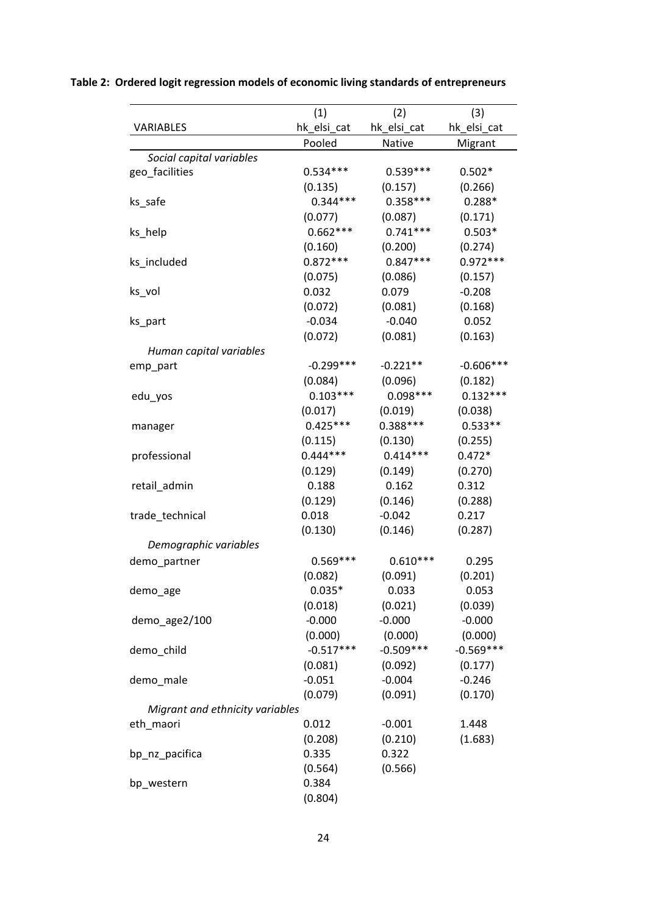|                                 | (1)         | (2)         | (3)         |
|---------------------------------|-------------|-------------|-------------|
| <b>VARIABLES</b>                | hk_elsi_cat | hk_elsi_cat | hk_elsi_cat |
|                                 | Pooled      | Native      | Migrant     |
| Social capital variables        |             |             |             |
| geo_facilities                  | $0.534***$  | $0.539***$  | $0.502*$    |
|                                 | (0.135)     | (0.157)     | (0.266)     |
| ks_safe                         | $0.344***$  | $0.358***$  | $0.288*$    |
|                                 | (0.077)     | (0.087)     | (0.171)     |
| ks_help                         | $0.662***$  | $0.741***$  | $0.503*$    |
|                                 | (0.160)     | (0.200)     | (0.274)     |
| ks_included                     | $0.872***$  | $0.847***$  | $0.972***$  |
|                                 | (0.075)     | (0.086)     | (0.157)     |
| ks_vol                          | 0.032       | 0.079       | $-0.208$    |
|                                 | (0.072)     | (0.081)     | (0.168)     |
| ks_part                         | $-0.034$    | $-0.040$    | 0.052       |
|                                 | (0.072)     | (0.081)     | (0.163)     |
| Human capital variables         |             |             |             |
| emp_part                        | $-0.299***$ | $-0.221**$  | $-0.606***$ |
|                                 | (0.084)     | (0.096)     | (0.182)     |
| edu_yos                         | $0.103***$  | $0.098***$  | $0.132***$  |
|                                 | (0.017)     | (0.019)     | (0.038)     |
| manager                         | $0.425***$  | $0.388***$  | $0.533**$   |
|                                 | (0.115)     | (0.130)     | (0.255)     |
| professional                    | $0.444***$  | $0.414***$  | $0.472*$    |
|                                 | (0.129)     | (0.149)     | (0.270)     |
| retail_admin                    | 0.188       | 0.162       | 0.312       |
|                                 | (0.129)     | (0.146)     | (0.288)     |
| trade_technical                 | 0.018       | $-0.042$    | 0.217       |
|                                 | (0.130)     | (0.146)     | (0.287)     |
| Demographic variables           |             |             |             |
| demo_partner                    | $0.569***$  | $0.610***$  | 0.295       |
|                                 | (0.082)     | (0.091)     | (0.201)     |
| demo_age                        | $0.035*$    | 0.033       | 0.053       |
|                                 | (0.018)     | (0.021)     | (0.039)     |
| demo_age2/100                   | $-0.000$    | $-0.000$    | $-0.000$    |
|                                 | (0.000)     | (0.000)     | (0.000)     |
| demo_child                      | $-0.517***$ | $-0.509***$ | $-0.569***$ |
|                                 | (0.081)     | (0.092)     | (0.177)     |
| demo_male                       | $-0.051$    | $-0.004$    | $-0.246$    |
|                                 | (0.079)     | (0.091)     | (0.170)     |
| Migrant and ethnicity variables |             |             |             |
| eth_maori                       | 0.012       | $-0.001$    | 1.448       |
|                                 | (0.208)     | (0.210)     | (1.683)     |
| bp_nz_pacifica                  | 0.335       | 0.322       |             |
|                                 | (0.564)     | (0.566)     |             |
| bp_western                      | 0.384       |             |             |
|                                 | (0.804)     |             |             |

### **Table 2: Ordered logit regression models of economic living standards of entrepreneurs**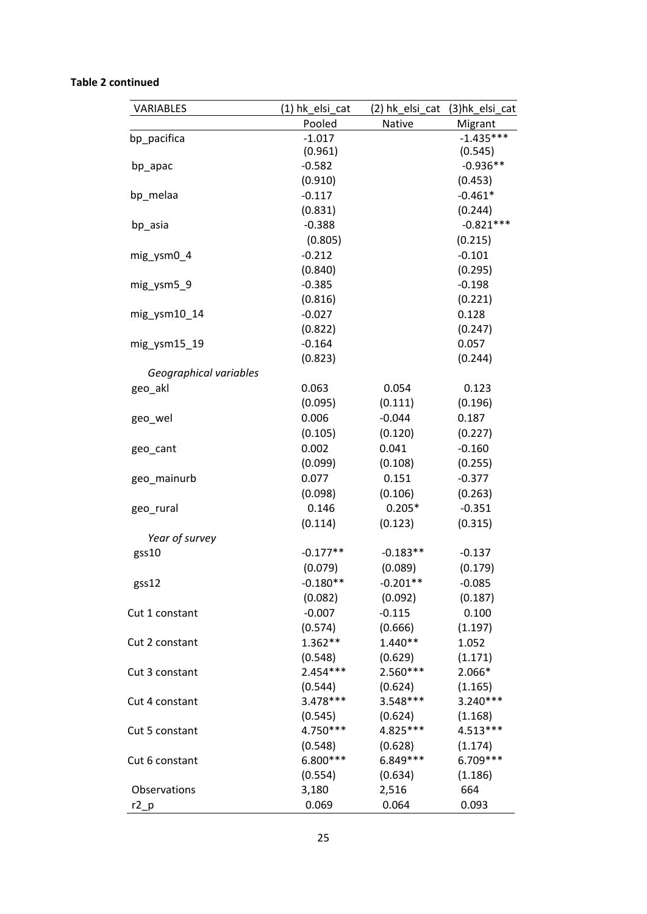#### **Table 2 continued**

| VARIABLES              | (1) hk_elsi_cat  | (2) hk_elsi_cat | (3)hk_elsi_cat |
|------------------------|------------------|-----------------|----------------|
|                        | Pooled           | Native          | Migrant        |
| bp_pacifica            | $-1.017$         |                 | $-1.435***$    |
|                        | (0.961)          |                 | (0.545)        |
| bp_apac                | $-0.582$         |                 | $-0.936**$     |
|                        | (0.910)          |                 | (0.453)        |
| bp_melaa               | $-0.117$         |                 | $-0.461*$      |
|                        | (0.831)          |                 | (0.244)        |
| bp_asia                | $-0.388$         |                 | $-0.821***$    |
|                        | (0.805)          |                 | (0.215)        |
| mig_ysm0_4             | $-0.212$         |                 | $-0.101$       |
|                        | (0.840)          |                 | (0.295)        |
| mig_ysm5_9             | $-0.385$         |                 | $-0.198$       |
|                        | (0.816)          |                 | (0.221)        |
| mig_ysm10_14           | $-0.027$         |                 | 0.128          |
|                        | (0.822)          |                 | (0.247)        |
| mig_ysm15_19           | $-0.164$         |                 | 0.057          |
|                        | (0.823)          |                 | (0.244)        |
| Geographical variables |                  |                 |                |
| geo_akl                | 0.063            | 0.054           | 0.123          |
|                        | (0.095)          | (0.111)         | (0.196)        |
| geo_wel                | 0.006            | $-0.044$        | 0.187          |
|                        | (0.105)          | (0.120)         | (0.227)        |
| geo_cant               | 0.002            | 0.041           | $-0.160$       |
|                        | (0.099)          | (0.108)         | (0.255)        |
| geo_mainurb            | 0.077            | 0.151           | $-0.377$       |
|                        |                  |                 |                |
|                        | (0.098)<br>0.146 | (0.106)         | (0.263)        |
| geo_rural              |                  | $0.205*$        | $-0.351$       |
|                        | (0.114)          | (0.123)         | (0.315)        |
| Year of survey         |                  |                 |                |
| gss10                  | $-0.177**$       | $-0.183**$      | $-0.137$       |
|                        | (0.079)          | (0.089)         | (0.179)        |
| gss12                  | $-0.180**$       | $-0.201**$      | $-0.085$       |
|                        | (0.082)          | (0.092)         | (0.187)        |
| Cut 1 constant         | $-0.007$         | $-0.115$        | 0.100          |
|                        | (0.574)          | (0.666)         | (1.197)        |
| Cut 2 constant         | $1.362**$        | $1.440**$       | 1.052          |
|                        | (0.548)          | (0.629)         | (1.171)        |
| Cut 3 constant         | $2.454***$       | $2.560***$      | 2.066*         |
|                        | (0.544)          | (0.624)         | (1.165)        |
| Cut 4 constant         | $3.478***$       | $3.548***$      | $3.240***$     |
|                        | (0.545)          | (0.624)         | (1.168)        |
| Cut 5 constant         | 4.750 ***        | 4.825***        | $4.513***$     |
|                        | (0.548)          | (0.628)         | (1.174)        |
| Cut 6 constant         | $6.800***$       | $6.849***$      | 6.709 ***      |
|                        | (0.554)          | (0.634)         | (1.186)        |
| Observations           | 3,180            | 2,516           | 664            |
| $r2$ $p$               | 0.069            | 0.064           | 0.093          |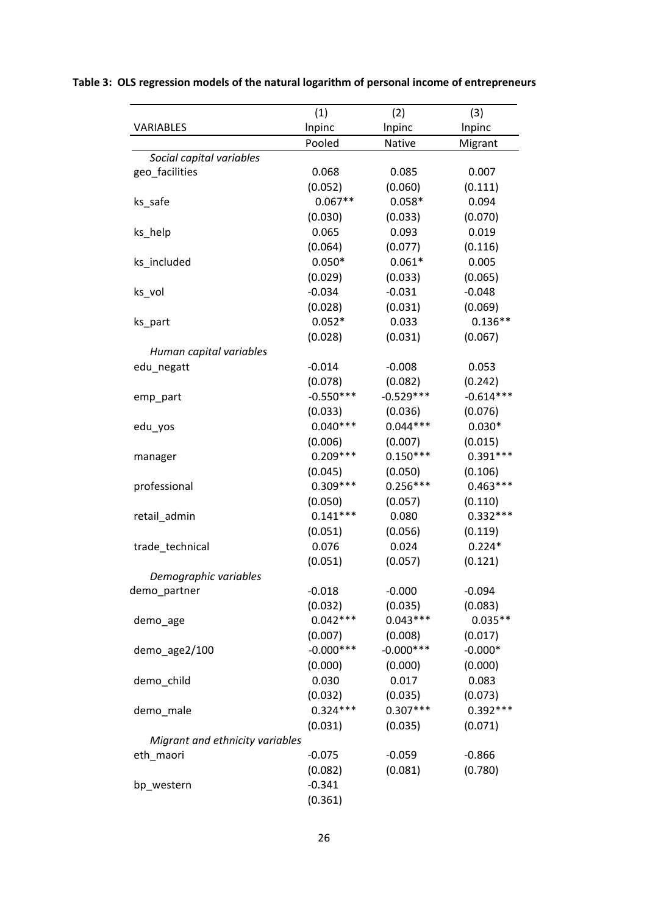|                                 | (1)         | (2)          | (3)         |
|---------------------------------|-------------|--------------|-------------|
| VARIABLES                       | Inpinc      | Inpinc       | Inpinc      |
|                                 | Pooled      | Native       | Migrant     |
| Social capital variables        |             |              |             |
| geo_facilities                  | 0.068       | 0.085        | 0.007       |
|                                 | (0.052)     | (0.060)      | (0.111)     |
| ks_safe                         | $0.067**$   | $0.058*$     | 0.094       |
|                                 | (0.030)     | (0.033)      | (0.070)     |
| ks_help                         | 0.065       | 0.093        | 0.019       |
|                                 | (0.064)     | (0.077)      | (0.116)     |
| ks_included                     | $0.050*$    | $0.061*$     | 0.005       |
|                                 | (0.029)     | (0.033)      | (0.065)     |
| ks_vol                          | $-0.034$    | $-0.031$     | $-0.048$    |
|                                 | (0.028)     | (0.031)      | (0.069)     |
| ks_part                         | $0.052*$    | 0.033        | $0.136**$   |
|                                 | (0.028)     | (0.031)      | (0.067)     |
| Human capital variables         |             |              |             |
| edu_negatt                      | $-0.014$    | $-0.008$     | 0.053       |
|                                 | (0.078)     | (0.082)      | (0.242)     |
| emp_part                        | $-0.550***$ | $-0.529***$  | $-0.614***$ |
|                                 | (0.033)     | (0.036)      | (0.076)     |
| edu_yos                         | $0.040***$  | $0.044***$   | $0.030*$    |
|                                 | (0.006)     | (0.007)      | (0.015)     |
| manager                         | $0.209***$  | $0.150***$   | $0.391***$  |
|                                 | (0.045)     | (0.050)      | (0.106)     |
| professional                    | $0.309***$  | $0.256***$   | $0.463***$  |
|                                 | (0.050)     | (0.057)      | (0.110)     |
| retail_admin                    | $0.141***$  | 0.080        | $0.332***$  |
|                                 | (0.051)     | (0.056)      | (0.119)     |
| trade_technical                 | 0.076       | 0.024        | $0.224*$    |
|                                 | (0.051)     | (0.057)      | (0.121)     |
| Demographic variables           |             |              |             |
| demo_partner                    | $-0.018$    | $-0.000$     | $-0.094$    |
|                                 | (0.032)     | (0.035)      | (0.083)     |
| demo_age                        | $0.042***$  | $0.043***$   | $0.035**$   |
|                                 | (0.007)     | (0.008)      | (0.017)     |
| demo_age2/100                   | $-0.000***$ | $-0.000$ *** | $-0.000*$   |
|                                 | (0.000)     | (0.000)      | (0.000)     |
| demo_child                      | 0.030       | 0.017        | 0.083       |
|                                 | (0.032)     | (0.035)      | (0.073)     |
| demo male                       | $0.324***$  | $0.307***$   | $0.392***$  |
|                                 | (0.031)     | (0.035)      | (0.071)     |
| Migrant and ethnicity variables |             |              |             |
| eth_maori                       | $-0.075$    | $-0.059$     | $-0.866$    |
|                                 | (0.082)     | (0.081)      | (0.780)     |
| bp_western                      | $-0.341$    |              |             |
|                                 | (0.361)     |              |             |

### **Table 3: OLS regression models of the natural logarithm of personal income of entrepreneurs**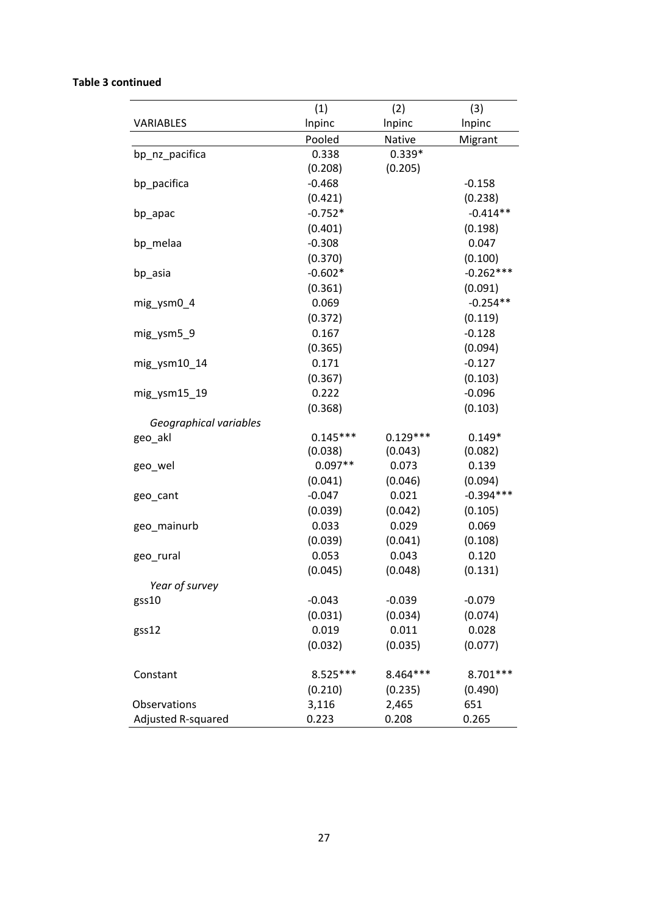#### **Table 3 continued**

|                        | (1)        | (2)        | (3)         |
|------------------------|------------|------------|-------------|
| <b>VARIABLES</b>       | Inpinc     | Inpinc     | Inpinc      |
|                        | Pooled     | Native     | Migrant     |
| bp_nz_pacifica         | 0.338      | $0.339*$   |             |
|                        | (0.208)    | (0.205)    |             |
| bp_pacifica            | $-0.468$   |            | $-0.158$    |
|                        | (0.421)    |            | (0.238)     |
| bp_apac                | $-0.752*$  |            | $-0.414**$  |
|                        | (0.401)    |            | (0.198)     |
| bp_melaa               | $-0.308$   |            | 0.047       |
|                        | (0.370)    |            | (0.100)     |
| bp_asia                | $-0.602*$  |            | $-0.262***$ |
|                        | (0.361)    |            | (0.091)     |
| mig_ysm0_4             | 0.069      |            | $-0.254**$  |
|                        | (0.372)    |            | (0.119)     |
| mig_ysm5_9             | 0.167      |            | $-0.128$    |
|                        | (0.365)    |            | (0.094)     |
| mig_ysm10_14           | 0.171      |            | $-0.127$    |
|                        | (0.367)    |            | (0.103)     |
| mig_ysm15_19           | 0.222      |            | $-0.096$    |
|                        | (0.368)    |            | (0.103)     |
| Geographical variables |            |            |             |
| geo_akl                | $0.145***$ | $0.129***$ | $0.149*$    |
|                        | (0.038)    | (0.043)    | (0.082)     |
| geo_wel                | $0.097**$  | 0.073      | 0.139       |
|                        | (0.041)    | (0.046)    | (0.094)     |
| geo_cant               | $-0.047$   | 0.021      | $-0.394***$ |
|                        | (0.039)    | (0.042)    | (0.105)     |
| geo_mainurb            | 0.033      | 0.029      | 0.069       |
|                        | (0.039)    | (0.041)    | (0.108)     |
| geo_rural              | 0.053      | 0.043      | 0.120       |
|                        | (0.045)    | (0.048)    | (0.131)     |
| Year of survey         |            |            |             |
| gss10                  | $-0.043$   | $-0.039$   | $-0.079$    |
|                        | (0.031)    | (0.034)    | (0.074)     |
| gss12                  | 0.019      | 0.011      | 0.028       |
|                        | (0.032)    | (0.035)    | (0.077)     |
| Constant               | 8.525***   | 8.464***   | 8.701 ***   |
|                        | (0.210)    | (0.235)    | (0.490)     |
| Observations           | 3,116      | 2,465      | 651         |
| Adjusted R-squared     | 0.223      | 0.208      | 0.265       |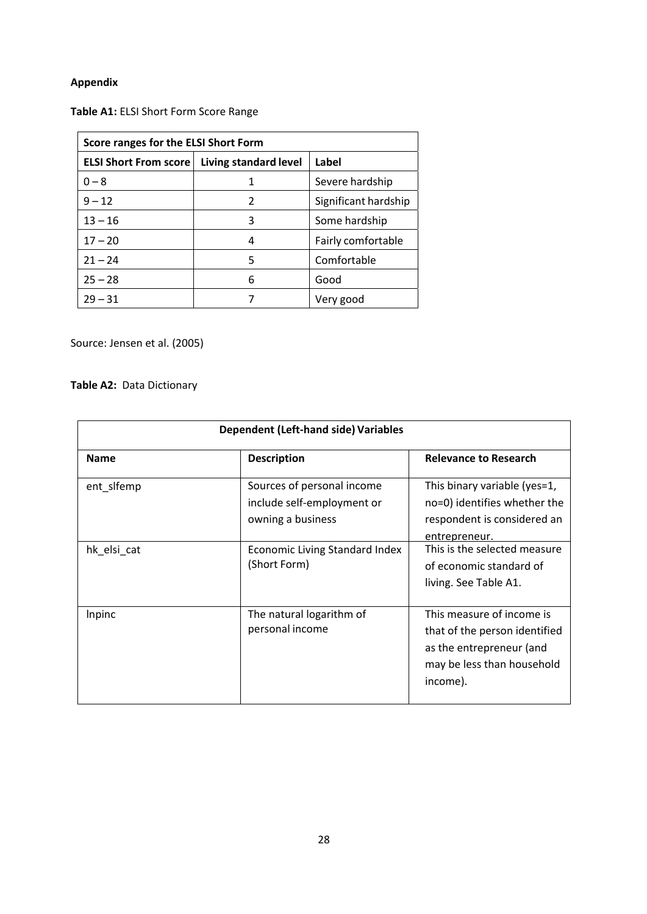### **Appendix**

**Table A1:** ELSI Short Form Score Range

| Score ranges for the ELSI Short Form |                       |                      |  |
|--------------------------------------|-----------------------|----------------------|--|
| <b>ELSI Short From score</b>         | Living standard level | Label                |  |
| $0 - 8$                              | 1                     | Severe hardship      |  |
| $9 - 12$                             | $\overline{2}$        | Significant hardship |  |
| $13 - 16$                            | 3                     | Some hardship        |  |
| $17 - 20$                            | 4                     | Fairly comfortable   |  |
| $21 - 24$                            | 5                     | Comfortable          |  |
| $25 - 28$                            | 6                     | Good                 |  |
| $29 - 31$                            | 7                     | Very good            |  |

Source: Jensen et al. (2005)

#### **Table A2:** Data Dictionary

| Dependent (Left-hand side) Variables |                                                                               |                                                                                                                                  |  |
|--------------------------------------|-------------------------------------------------------------------------------|----------------------------------------------------------------------------------------------------------------------------------|--|
| <b>Name</b>                          | <b>Description</b>                                                            | <b>Relevance to Research</b>                                                                                                     |  |
| ent slfemp                           | Sources of personal income<br>include self-employment or<br>owning a business | This binary variable (yes=1,<br>no=0) identifies whether the<br>respondent is considered an<br>entrepreneur.                     |  |
| hk_elsi_cat                          | <b>Economic Living Standard Index</b><br>(Short Form)                         | This is the selected measure<br>of economic standard of<br>living. See Table A1.                                                 |  |
| Inpinc                               | The natural logarithm of<br>personal income                                   | This measure of income is<br>that of the person identified<br>as the entrepreneur (and<br>may be less than household<br>income). |  |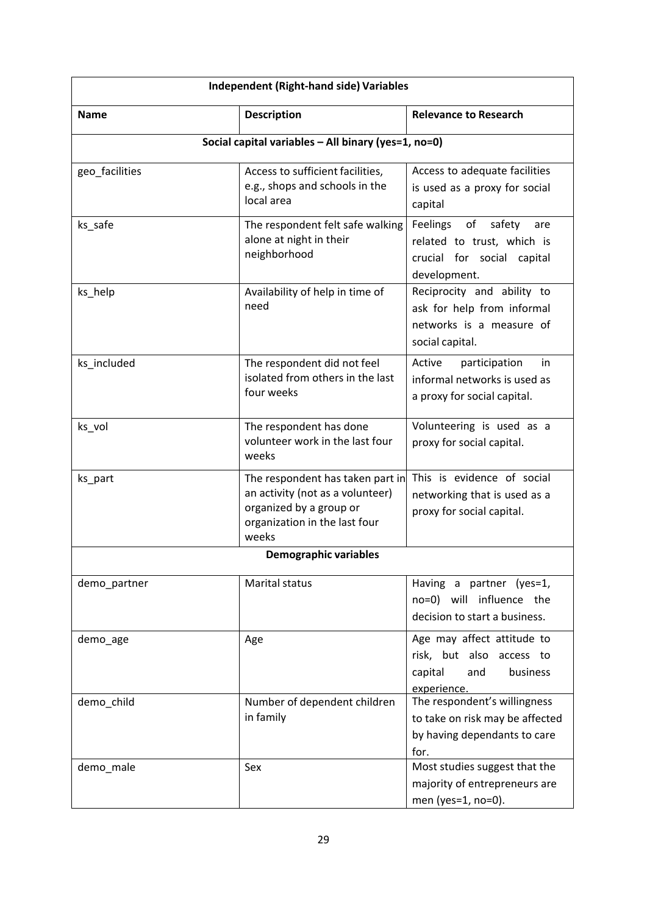| <b>Independent (Right-hand side) Variables</b> |                                                                                                                                           |                                                                                                         |  |
|------------------------------------------------|-------------------------------------------------------------------------------------------------------------------------------------------|---------------------------------------------------------------------------------------------------------|--|
| <b>Name</b>                                    | <b>Description</b>                                                                                                                        | <b>Relevance to Research</b>                                                                            |  |
|                                                | Social capital variables - All binary (yes=1, no=0)                                                                                       |                                                                                                         |  |
| geo_facilities                                 | Access to sufficient facilities,<br>e.g., shops and schools in the<br>local area                                                          | Access to adequate facilities<br>is used as a proxy for social<br>capital                               |  |
| ks_safe                                        | The respondent felt safe walking<br>alone at night in their<br>neighborhood                                                               | Feelings of safety<br>are<br>related to trust, which is<br>crucial for social capital<br>development.   |  |
| ks_help                                        | Availability of help in time of<br>need                                                                                                   | Reciprocity and ability to<br>ask for help from informal<br>networks is a measure of<br>social capital. |  |
| ks_included                                    | The respondent did not feel<br>isolated from others in the last<br>four weeks                                                             | Active<br>participation<br>in<br>informal networks is used as<br>a proxy for social capital.            |  |
| ks_vol                                         | The respondent has done<br>volunteer work in the last four<br>weeks                                                                       | Volunteering is used as a<br>proxy for social capital.                                                  |  |
| ks_part                                        | The respondent has taken part in<br>an activity (not as a volunteer)<br>organized by a group or<br>organization in the last four<br>weeks | This is evidence of social<br>networking that is used as a<br>proxy for social capital.                 |  |
|                                                | <b>Demographic variables</b>                                                                                                              |                                                                                                         |  |
| demo_partner                                   | Marital status                                                                                                                            | Having a partner (yes=1,<br>no=0) will influence the<br>decision to start a business.                   |  |
| demo_age                                       | Age                                                                                                                                       | Age may affect attitude to<br>risk, but also access to<br>capital<br>business<br>and<br>experience.     |  |
| demo_child                                     | Number of dependent children<br>in family                                                                                                 | The respondent's willingness<br>to take on risk may be affected<br>by having dependants to care<br>for. |  |
| demo_male                                      | Sex                                                                                                                                       | Most studies suggest that the<br>majority of entrepreneurs are<br>men (yes=1, no=0).                    |  |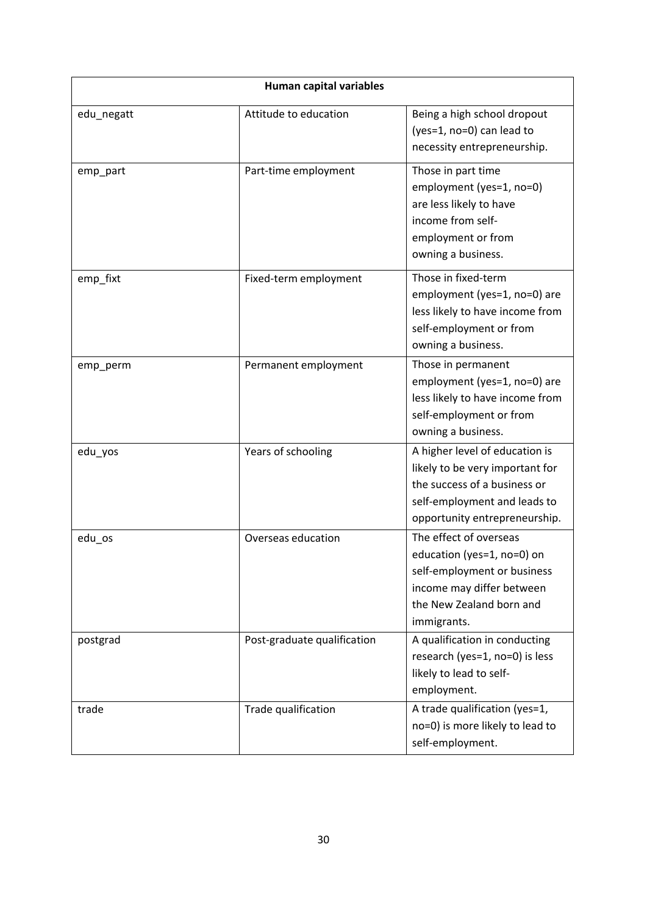| <b>Human capital variables</b> |                             |                                                                                                                                                                    |  |
|--------------------------------|-----------------------------|--------------------------------------------------------------------------------------------------------------------------------------------------------------------|--|
| edu_negatt                     | Attitude to education       | Being a high school dropout<br>(yes=1, no=0) can lead to<br>necessity entrepreneurship.                                                                            |  |
| emp_part                       | Part-time employment        | Those in part time<br>employment (yes=1, no=0)<br>are less likely to have<br>income from self-<br>employment or from<br>owning a business.                         |  |
| emp_fixt                       | Fixed-term employment       | Those in fixed-term<br>employment (yes=1, no=0) are<br>less likely to have income from<br>self-employment or from<br>owning a business.                            |  |
| emp_perm                       | Permanent employment        | Those in permanent<br>employment (yes=1, no=0) are<br>less likely to have income from<br>self-employment or from<br>owning a business.                             |  |
| edu_yos                        | Years of schooling          | A higher level of education is<br>likely to be very important for<br>the success of a business or<br>self-employment and leads to<br>opportunity entrepreneurship. |  |
| edu_os                         | Overseas education          | The effect of overseas<br>education (yes=1, no=0) on<br>self-employment or business<br>income may differ between<br>the New Zealand born and<br>immigrants.        |  |
| postgrad                       | Post-graduate qualification | A qualification in conducting<br>research (yes=1, no=0) is less<br>likely to lead to self-<br>employment.                                                          |  |
| trade                          | Trade qualification         | A trade qualification (yes=1,<br>no=0) is more likely to lead to<br>self-employment.                                                                               |  |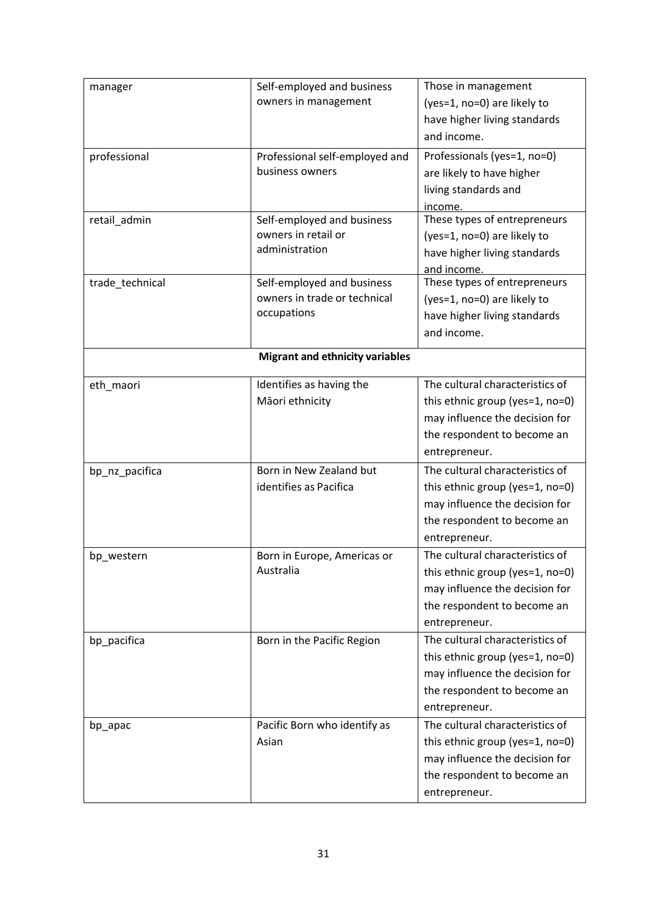| manager         | Self-employed and business<br>owners in management                        | Those in management<br>(yes=1, no=0) are likely to<br>have higher living standards<br>and income.                                                    |
|-----------------|---------------------------------------------------------------------------|------------------------------------------------------------------------------------------------------------------------------------------------------|
| professional    | Professional self-employed and<br>business owners                         | Professionals (yes=1, no=0)<br>are likely to have higher<br>living standards and<br>income.                                                          |
| retail_admin    | Self-employed and business<br>owners in retail or<br>administration       | These types of entrepreneurs<br>(yes=1, no=0) are likely to<br>have higher living standards<br>and income.                                           |
| trade_technical | Self-employed and business<br>owners in trade or technical<br>occupations | These types of entrepreneurs<br>(yes=1, no=0) are likely to<br>have higher living standards<br>and income.                                           |
|                 | <b>Migrant and ethnicity variables</b>                                    |                                                                                                                                                      |
| eth_maori       | Identifies as having the<br>Māori ethnicity                               | The cultural characteristics of<br>this ethnic group (yes=1, no=0)<br>may influence the decision for<br>the respondent to become an<br>entrepreneur. |
| bp_nz_pacifica  | Born in New Zealand but<br>identifies as Pacifica                         | The cultural characteristics of<br>this ethnic group (yes=1, no=0)<br>may influence the decision for<br>the respondent to become an<br>entrepreneur. |
| bp_western      | Born in Europe, Americas or<br>Australia                                  | The cultural characteristics of<br>this ethnic group (yes=1, no=0)<br>may influence the decision for<br>the respondent to become an<br>entrepreneur. |
| bp_pacifica     | Born in the Pacific Region                                                | The cultural characteristics of<br>this ethnic group (yes=1, no=0)<br>may influence the decision for<br>the respondent to become an<br>entrepreneur. |
| bp_apac         | Pacific Born who identify as<br>Asian                                     | The cultural characteristics of<br>this ethnic group (yes=1, no=0)<br>may influence the decision for<br>the respondent to become an<br>entrepreneur. |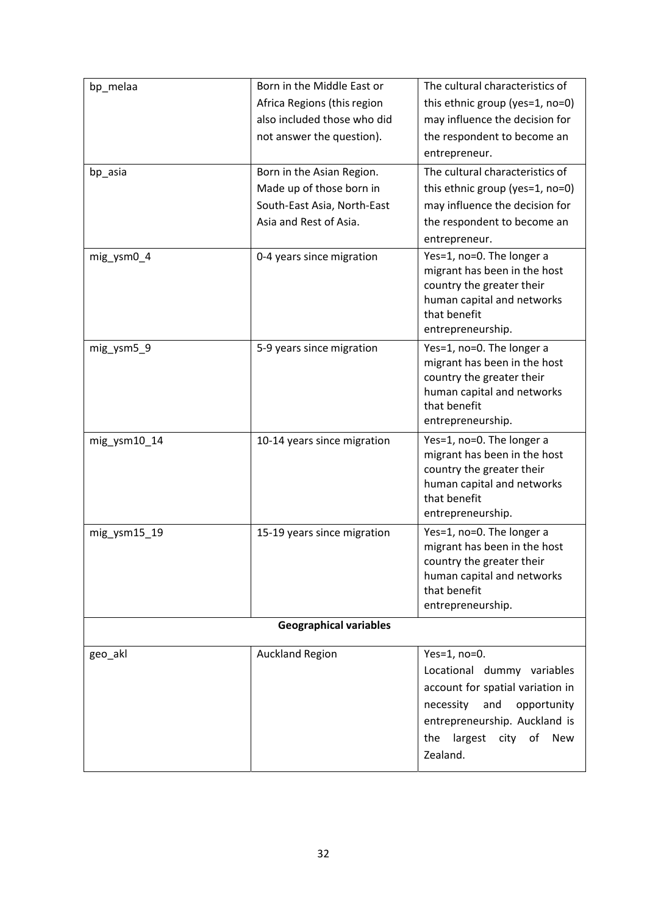| bp_melaa                      | Born in the Middle East or  | The cultural characteristics of                                                                                                                                                           |  |
|-------------------------------|-----------------------------|-------------------------------------------------------------------------------------------------------------------------------------------------------------------------------------------|--|
|                               | Africa Regions (this region | this ethnic group (yes=1, no=0)                                                                                                                                                           |  |
|                               | also included those who did | may influence the decision for                                                                                                                                                            |  |
|                               | not answer the question).   | the respondent to become an                                                                                                                                                               |  |
|                               |                             | entrepreneur.                                                                                                                                                                             |  |
| bp_asia                       | Born in the Asian Region.   | The cultural characteristics of                                                                                                                                                           |  |
|                               | Made up of those born in    | this ethnic group (yes=1, no=0)                                                                                                                                                           |  |
|                               | South-East Asia, North-East | may influence the decision for                                                                                                                                                            |  |
|                               | Asia and Rest of Asia.      | the respondent to become an                                                                                                                                                               |  |
|                               |                             | entrepreneur.                                                                                                                                                                             |  |
| mig_ysm0_4                    | 0-4 years since migration   | Yes=1, no=0. The longer a<br>migrant has been in the host<br>country the greater their<br>human capital and networks<br>that benefit<br>entrepreneurship.                                 |  |
| mig_ysm5_9                    | 5-9 years since migration   | Yes=1, no=0. The longer a<br>migrant has been in the host<br>country the greater their<br>human capital and networks<br>that benefit<br>entrepreneurship.                                 |  |
| mig_ysm10_14                  | 10-14 years since migration | Yes=1, no=0. The longer a<br>migrant has been in the host<br>country the greater their<br>human capital and networks<br>that benefit<br>entrepreneurship.                                 |  |
| mig_ysm15_19                  | 15-19 years since migration | Yes=1, no=0. The longer a<br>migrant has been in the host<br>country the greater their<br>human capital and networks<br>that benefit<br>entrepreneurship.                                 |  |
| <b>Geographical variables</b> |                             |                                                                                                                                                                                           |  |
| geo_akl                       | <b>Auckland Region</b>      | Yes=1, no=0.<br>Locational dummy variables<br>account for spatial variation in<br>necessity<br>and<br>opportunity<br>entrepreneurship. Auckland is<br>the largest city of New<br>Zealand. |  |